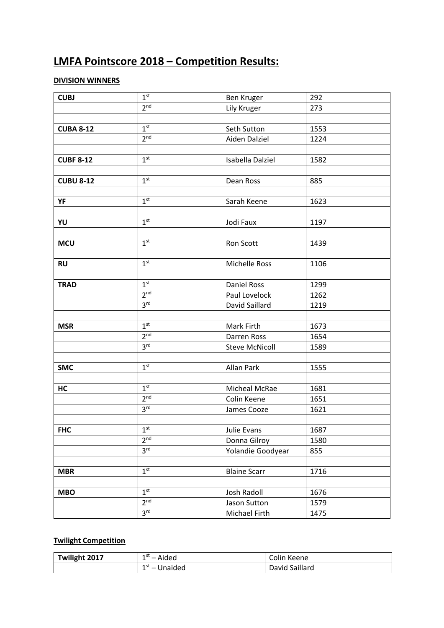# **LMFA Pointscore 2018 – Competition Results:**

### **DIVISION WINNERS**

| <b>CUBJ</b>      | 1 <sup>st</sup> | <b>Ben Kruger</b>     | 292  |  |  |
|------------------|-----------------|-----------------------|------|--|--|
|                  | 2 <sub>nd</sub> | Lily Kruger           | 273  |  |  |
|                  |                 |                       |      |  |  |
| <b>CUBA 8-12</b> | 1 <sup>st</sup> | Seth Sutton           | 1553 |  |  |
|                  | 2 <sup>nd</sup> | Aiden Dalziel         | 1224 |  |  |
|                  |                 |                       |      |  |  |
| <b>CUBF 8-12</b> | 1 <sup>st</sup> | Isabella Dalziel      | 1582 |  |  |
|                  |                 |                       |      |  |  |
| <b>CUBU 8-12</b> | 1 <sup>st</sup> | Dean Ross             | 885  |  |  |
|                  |                 |                       |      |  |  |
| YF               | 1 <sup>st</sup> | Sarah Keene           | 1623 |  |  |
|                  |                 |                       |      |  |  |
| YU               | 1 <sup>st</sup> | Jodi Faux             | 1197 |  |  |
|                  |                 |                       |      |  |  |
| <b>MCU</b>       | 1 <sup>st</sup> | Ron Scott             | 1439 |  |  |
|                  |                 |                       |      |  |  |
| <b>RU</b>        | 1 <sup>st</sup> | Michelle Ross         | 1106 |  |  |
|                  |                 |                       |      |  |  |
| <b>TRAD</b>      | 1 <sup>st</sup> | <b>Daniel Ross</b>    | 1299 |  |  |
|                  | 2 <sup>nd</sup> | Paul Lovelock         | 1262 |  |  |
|                  | 3 <sup>rd</sup> | David Saillard        | 1219 |  |  |
|                  |                 |                       |      |  |  |
| <b>MSR</b>       | 1 <sup>st</sup> | Mark Firth            | 1673 |  |  |
|                  | 2 <sup>nd</sup> | Darren Ross           | 1654 |  |  |
|                  | 3 <sup>rd</sup> | <b>Steve McNicoll</b> | 1589 |  |  |
|                  |                 |                       |      |  |  |
| <b>SMC</b>       | 1 <sup>st</sup> | Allan Park            | 1555 |  |  |
|                  |                 |                       |      |  |  |
| HC               | 1 <sup>st</sup> | Micheal McRae         | 1681 |  |  |
|                  | 2 <sup>nd</sup> | Colin Keene           | 1651 |  |  |
|                  | 3 <sup>rd</sup> | James Cooze           | 1621 |  |  |
|                  |                 |                       |      |  |  |
| <b>FHC</b>       | 1 <sup>st</sup> | Julie Evans           | 1687 |  |  |
|                  | 2 <sup>nd</sup> | Donna Gilroy          | 1580 |  |  |
|                  | 3 <sup>rd</sup> | Yolandie Goodyear     | 855  |  |  |
|                  |                 |                       |      |  |  |
| <b>MBR</b>       | 1 <sup>st</sup> | <b>Blaine Scarr</b>   | 1716 |  |  |
|                  |                 |                       |      |  |  |
| <b>MBO</b>       | 1 <sup>st</sup> | Josh Radoll           | 1676 |  |  |
|                  | 2 <sup>nd</sup> | Jason Sutton          | 1579 |  |  |
|                  | 3 <sup>rd</sup> | Michael Firth         | 1475 |  |  |

## **Twilight Competition**

| Twilight 2017 | 1 St<br>Aided<br>$\overline{\phantom{0}}$   | Colin Keene    |
|---------------|---------------------------------------------|----------------|
|               | 1 St<br>Jnaided<br>$\overline{\phantom{0}}$ | David Saillard |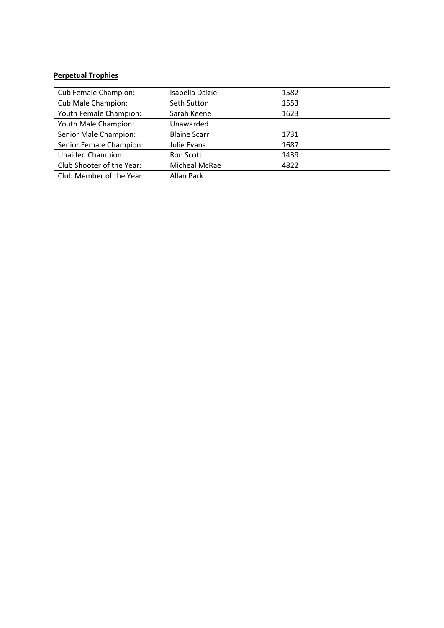#### **Perpetual Trophies**

| Cub Female Champion:      | Isabella Dalziel    | 1582 |
|---------------------------|---------------------|------|
| Cub Male Champion:        | Seth Sutton         | 1553 |
| Youth Female Champion:    | Sarah Keene         | 1623 |
| Youth Male Champion:      | Unawarded           |      |
| Senior Male Champion:     | <b>Blaine Scarr</b> | 1731 |
| Senior Female Champion:   | Julie Evans         | 1687 |
| <b>Unaided Champion:</b>  | Ron Scott           | 1439 |
| Club Shooter of the Year: | Micheal McRae       | 4822 |
| Club Member of the Year:  | <b>Allan Park</b>   |      |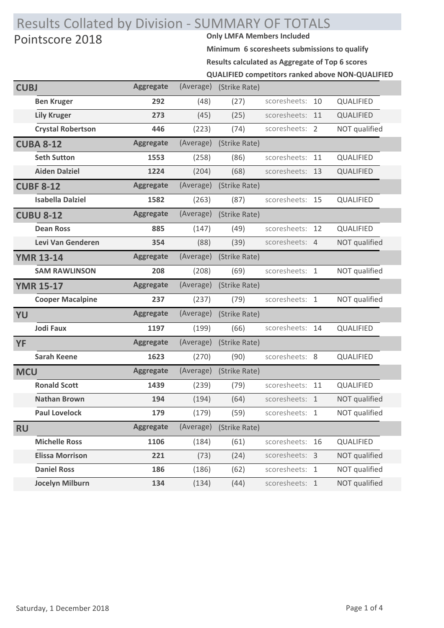# Results Collated by Division - SUMMARY OF TOTALS<br>Dointscore 2018 Pointscore 2018

**Minimum 6 scoresheets submissions to qualify**

**Results calculated as Aggregate of Top 6 scores**

|  | <b>QUALIFIED competitors ranked above NON-QUALIFIED</b> |  |  |  |  |
|--|---------------------------------------------------------|--|--|--|--|
|--|---------------------------------------------------------|--|--|--|--|

| <b>CUBJ</b> |                          | <b>Aggregate</b> | (Average) | (Strike Rate) |                 |    |               |
|-------------|--------------------------|------------------|-----------|---------------|-----------------|----|---------------|
|             | <b>Ben Kruger</b>        | 292              | (48)      | (27)          | scoresheets: 10 |    | QUALIFIED     |
|             | <b>Lily Kruger</b>       | 273              | (45)      | (25)          | scoresheets: 11 |    | QUALIFIED     |
|             | <b>Crystal Robertson</b> | 446              | (223)     | (74)          | scoresheets: 2  |    | NOT qualified |
|             | <b>CUBA 8-12</b>         | <b>Aggregate</b> | (Average) | (Strike Rate) |                 |    |               |
|             | <b>Seth Sutton</b>       | 1553             | (258)     | (86)          | scoresheets:    | 11 | QUALIFIED     |
|             | <b>Aiden Dalziel</b>     | 1224             | (204)     | (68)          | scoresheets: 13 |    | QUALIFIED     |
|             | <b>CUBF 8-12</b>         | <b>Aggregate</b> | (Average) | (Strike Rate) |                 |    |               |
|             | <b>Isabella Dalziel</b>  | 1582             | (263)     | (87)          | scoresheets: 15 |    | QUALIFIED     |
|             | <b>CUBU 8-12</b>         | <b>Aggregate</b> | (Average) | (Strike Rate) |                 |    |               |
|             | <b>Dean Ross</b>         | 885              | (147)     | (49)          | scoresheets:    | 12 | QUALIFIED     |
|             | Levi Van Genderen        | 354              | (88)      | (39)          | scoresheets: 4  |    | NOT qualified |
|             | <b>YMR 13-14</b>         | <b>Aggregate</b> | (Average) | (Strike Rate) |                 |    |               |
|             | <b>SAM RAWLINSON</b>     | 208              | (208)     | (69)          | scoresheets: 1  |    | NOT qualified |
|             | <b>YMR 15-17</b>         | <b>Aggregate</b> | (Average) | (Strike Rate) |                 |    |               |
|             | <b>Cooper Macalpine</b>  | 237              | (237)     | (79)          | scoresheets: 1  |    | NOT qualified |
| YU          |                          | <b>Aggregate</b> | (Average) | (Strike Rate) |                 |    |               |
|             | <b>Jodi Faux</b>         | 1197             | (199)     | (66)          | scoresheets: 14 |    | QUALIFIED     |
| <b>YF</b>   |                          | <b>Aggregate</b> | (Average) | (Strike Rate) |                 |    |               |
|             | <b>Sarah Keene</b>       | 1623             | (270)     | (90)          | scoresheets: 8  |    | QUALIFIED     |
| <b>MCU</b>  |                          | <b>Aggregate</b> | (Average) | (Strike Rate) |                 |    |               |
|             | <b>Ronald Scott</b>      | 1439             | (239)     | (79)          | scoresheets:    | 11 | QUALIFIED     |
|             | <b>Nathan Brown</b>      | 194              | (194)     | (64)          | scoresheets: 1  |    | NOT qualified |
|             | <b>Paul Lovelock</b>     | 179              | (179)     | (59)          | scoresheets: 1  |    | NOT qualified |
| <b>RU</b>   |                          | <b>Aggregate</b> | (Average) | (Strike Rate) |                 |    |               |
|             | <b>Michelle Ross</b>     | 1106             | (184)     | (61)          | scoresheets: 16 |    | QUALIFIED     |
|             | <b>Elissa Morrison</b>   | 221              | (73)      | (24)          | scoresheets: 3  |    | NOT qualified |
|             | <b>Daniel Ross</b>       | 186              | (186)     | (62)          | scoresheets: 1  |    | NOT qualified |
|             | <b>Jocelyn Milburn</b>   | 134              | (134)     | (44)          | scoresheets: 1  |    | NOT qualified |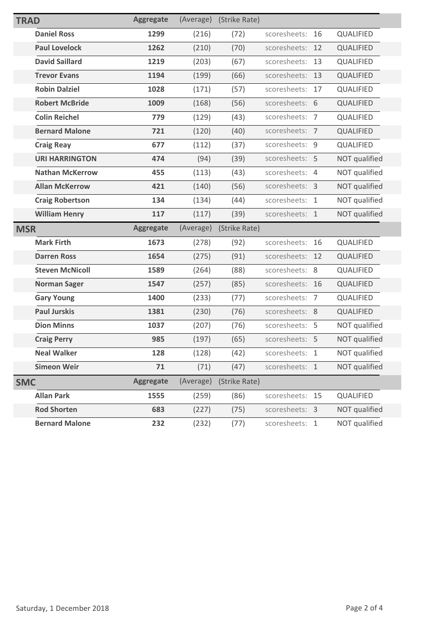| <b>TRAD</b> |                        | <b>Aggregate</b> | (Average) | (Strike Rate) |                 |    |                      |
|-------------|------------------------|------------------|-----------|---------------|-----------------|----|----------------------|
|             | <b>Daniel Ross</b>     | 1299             | (216)     | (72)          | scoresheets:    | 16 | QUALIFIED            |
|             | <b>Paul Lovelock</b>   | 1262             | (210)     | (70)          | scoresheets:    | 12 | <b>QUALIFIED</b>     |
|             | <b>David Saillard</b>  | 1219             | (203)     | (67)          | scoresheets:    | 13 | QUALIFIED            |
|             | <b>Trevor Evans</b>    | 1194             | (199)     | (66)          | scoresheets:    | 13 | QUALIFIED            |
|             | <b>Robin Dalziel</b>   | 1028             | (171)     | (57)          | scoresheets: 17 |    | QUALIFIED            |
|             | <b>Robert McBride</b>  | 1009             | (168)     | (56)          | scoresheets: 6  |    | QUALIFIED            |
|             | <b>Colin Reichel</b>   | 779              | (129)     | (43)          | scoresheets: 7  |    | QUALIFIED            |
|             | <b>Bernard Malone</b>  | 721              | (120)     | (40)          | scoresheets: 7  |    | QUALIFIED            |
|             | <b>Craig Reay</b>      | 677              | (112)     | (37)          | scoresheets: 9  |    | QUALIFIED            |
|             | <b>URI HARRINGTON</b>  | 474              | (94)      | (39)          | scoresheets: 5  |    | NOT qualified        |
|             | <b>Nathan McKerrow</b> | 455              | (113)     | (43)          | scoresheets: 4  |    | NOT qualified        |
|             | <b>Allan McKerrow</b>  | 421              | (140)     | (56)          | scoresheets: 3  |    | NOT qualified        |
|             | <b>Craig Robertson</b> | 134              | (134)     | (44)          | scoresheets: 1  |    | NOT qualified        |
|             | <b>William Henry</b>   | 117              | (117)     | (39)          | scoresheets: 1  |    | NOT qualified        |
|             |                        |                  |           |               |                 |    |                      |
| <b>MSR</b>  |                        | <b>Aggregate</b> | (Average) | (Strike Rate) |                 |    |                      |
|             | <b>Mark Firth</b>      | 1673             | (278)     | (92)          | scoresheets: 16 |    | QUALIFIED            |
|             | <b>Darren Ross</b>     | 1654             | (275)     | (91)          | scoresheets:    | 12 | QUALIFIED            |
|             | <b>Steven McNicoll</b> | 1589             | (264)     | (88)          | scoresheets: 8  |    | QUALIFIED            |
|             | <b>Norman Sager</b>    | 1547             | (257)     | (85)          | scoresheets: 16 |    | QUALIFIED            |
|             | <b>Gary Young</b>      | 1400             | (233)     | (77)          | scoresheets: 7  |    | QUALIFIED            |
|             | <b>Paul Jurskis</b>    | 1381             | (230)     | (76)          | scoresheets: 8  |    | QUALIFIED            |
|             | <b>Dion Minns</b>      | 1037             | (207)     | (76)          | scoresheets: 5  |    | NOT qualified        |
|             | <b>Craig Perry</b>     | 985              | (197)     | (65)          | scoresheets: 5  |    | <b>NOT</b> qualified |
|             | <b>Neal Walker</b>     | 128              | (128)     | (42)          | scoresheets: 1  |    | NOT qualified        |
|             | <b>Simeon Weir</b>     | 71               | (71)      | (47)          | scoresheets: 1  |    | NOT qualified        |
| <b>SMC</b>  |                        | <b>Aggregate</b> | (Average) | (Strike Rate) |                 |    |                      |
|             | <b>Allan Park</b>      | 1555             | (259)     | (86)          | scoresheets: 15 |    | QUALIFIED            |
|             | <b>Rod Shorten</b>     | 683              | (227)     | (75)          | scoresheets: 3  |    | NOT qualified        |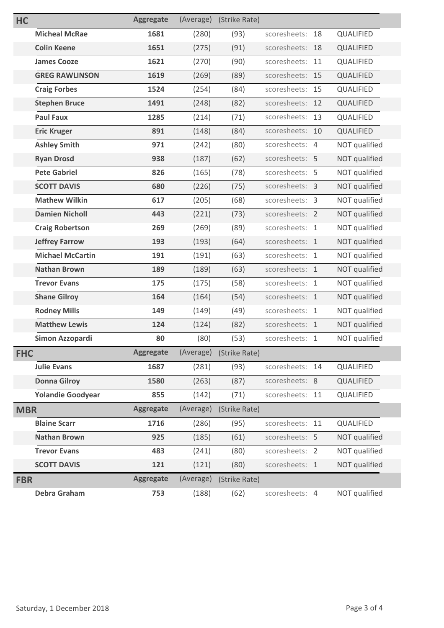| <b>HC</b>  |                          | <b>Aggregate</b> | (Average) | (Strike Rate) |                 |    |                  |
|------------|--------------------------|------------------|-----------|---------------|-----------------|----|------------------|
|            | <b>Micheal McRae</b>     | 1681             | (280)     | (93)          | scoresheets:    | 18 | QUALIFIED        |
|            | <b>Colin Keene</b>       | 1651             | (275)     | (91)          | scoresheets:    | 18 | <b>QUALIFIED</b> |
|            | <b>James Cooze</b>       | 1621             | (270)     | (90)          | scoresheets:    | 11 | QUALIFIED        |
|            | <b>GREG RAWLINSON</b>    | 1619             | (269)     | (89)          | scoresheets:    | 15 | QUALIFIED        |
|            | <b>Craig Forbes</b>      | 1524             | (254)     | (84)          | scoresheets:    | 15 | QUALIFIED        |
|            | <b>Stephen Bruce</b>     | 1491             | (248)     | (82)          | scoresheets:    | 12 | QUALIFIED        |
|            | <b>Paul Faux</b>         | 1285             | (214)     | (71)          | scoresheets:    | 13 | QUALIFIED        |
|            | <b>Eric Kruger</b>       | 891              | (148)     | (84)          | scoresheets: 10 |    | QUALIFIED        |
|            | <b>Ashley Smith</b>      | 971              | (242)     | (80)          | scoresheets: 4  |    | NOT qualified    |
|            | <b>Ryan Drosd</b>        | 938              | (187)     | (62)          | scoresheets: 5  |    | NOT qualified    |
|            | <b>Pete Gabriel</b>      | 826              | (165)     | (78)          | scoresheets: 5  |    | NOT qualified    |
|            | <b>SCOTT DAVIS</b>       | 680              | (226)     | (75)          | scoresheets: 3  |    | NOT qualified    |
|            | <b>Mathew Wilkin</b>     | 617              | (205)     | (68)          | scoresheets: 3  |    | NOT qualified    |
|            | <b>Damien Nicholl</b>    | 443              | (221)     | (73)          | scoresheets: 2  |    | NOT qualified    |
|            | <b>Craig Robertson</b>   | 269              | (269)     | (89)          | scoresheets: 1  |    | NOT qualified    |
|            | <b>Jeffrey Farrow</b>    | 193              | (193)     | (64)          | scoresheets: 1  |    | NOT qualified    |
|            | <b>Michael McCartin</b>  | 191              | (191)     | (63)          | scoresheets: 1  |    | NOT qualified    |
|            | <b>Nathan Brown</b>      | 189              | (189)     | (63)          | scoresheets: 1  |    | NOT qualified    |
|            | <b>Trevor Evans</b>      | 175              | (175)     | (58)          | scoresheets: 1  |    | NOT qualified    |
|            | <b>Shane Gilroy</b>      | 164              | (164)     | (54)          | scoresheets: 1  |    | NOT qualified    |
|            | <b>Rodney Mills</b>      | 149              | (149)     | (49)          | scoresheets: 1  |    | NOT qualified    |
|            | <b>Matthew Lewis</b>     | 124              | (124)     | (82)          | scoresheets: 1  |    | NOT qualified    |
|            | Simon Azzopardi          | 80               | (80)      | (53)          | scoresheets: 1  |    | NOT qualified    |
| <b>FHC</b> |                          | <b>Aggregate</b> | (Average) | (Strike Rate) |                 |    |                  |
|            | <b>Julie Evans</b>       | 1687             | (281)     | (93)          | scoresheets:    | 14 | QUALIFIED        |
|            | <b>Donna Gilroy</b>      | 1580             | (263)     | (87)          | scoresheets: 8  |    | QUALIFIED        |
|            | <b>Yolandie Goodyear</b> | 855              | (142)     | (71)          | scoresheets: 11 |    | QUALIFIED        |
| <b>MBR</b> |                          | <b>Aggregate</b> | (Average) | (Strike Rate) |                 |    |                  |
|            | <b>Blaine Scarr</b>      | 1716             | (286)     | (95)          | scoresheets: 11 |    | QUALIFIED        |
|            | <b>Nathan Brown</b>      | 925              | (185)     | (61)          | scoresheets: 5  |    | NOT qualified    |
|            | <b>Trevor Evans</b>      | 483              | (241)     | (80)          | scoresheets: 2  |    | NOT qualified    |
|            | <b>SCOTT DAVIS</b>       | 121              | (121)     | (80)          | scoresheets: 1  |    | NOT qualified    |
| <b>FBR</b> |                          | <b>Aggregate</b> | (Average) | (Strike Rate) |                 |    |                  |
|            | <b>Debra Graham</b>      | 753              | (188)     | (62)          | scoresheets: 4  |    | NOT qualified    |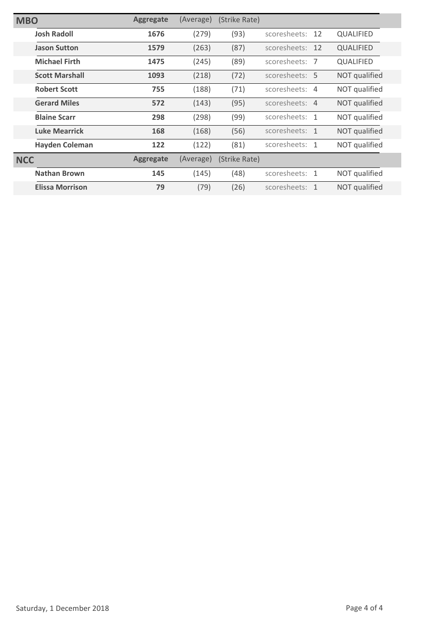| <b>MBO</b> |                        | <b>Aggregate</b> | (Average) | (Strike Rate) |                |    |                  |
|------------|------------------------|------------------|-----------|---------------|----------------|----|------------------|
|            | <b>Josh Radoll</b>     | 1676             | (279)     | (93)          | scoresheets:   | 12 | <b>QUALIFIED</b> |
|            | <b>Jason Sutton</b>    | 1579             | (263)     | (87)          | scoresheets:   | 12 | <b>QUALIFIED</b> |
|            | <b>Michael Firth</b>   | 1475             | (245)     | (89)          | scoresheets: 7 |    | <b>QUALIFIED</b> |
|            | <b>Scott Marshall</b>  | 1093             | (218)     | (72)          | scoresheets: 5 |    | NOT qualified    |
|            | <b>Robert Scott</b>    | 755              | (188)     | (71)          | scoresheets: 4 |    | NOT qualified    |
|            | <b>Gerard Miles</b>    | 572              | (143)     | (95)          | scoresheets: 4 |    | NOT qualified    |
|            | <b>Blaine Scarr</b>    | 298              | (298)     | (99)          | scoresheets: 1 |    | NOT qualified    |
|            | <b>Luke Mearrick</b>   | 168              | (168)     | (56)          | scoresheets: 1 |    | NOT qualified    |
|            | <b>Hayden Coleman</b>  | 122              | (122)     | (81)          | scoresheets: 1 |    | NOT qualified    |
| <b>NCC</b> |                        | <b>Aggregate</b> | (Average) | (Strike Rate) |                |    |                  |
|            | <b>Nathan Brown</b>    | 145              | (145)     | (48)          | scoresheets: 1 |    | NOT qualified    |
|            | <b>Elissa Morrison</b> | 79               | (79)      | (26)          | scoresheets: 1 |    | NOT qualified    |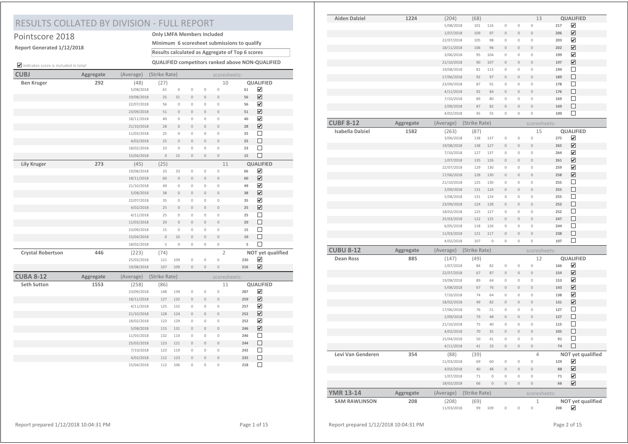# RESULTS COLLATED BY DIVISION - FULL REPORT

### Pointscore 2018 **Only LMFA Members Included**

**Report Generated 1/12/2018**

**Minimum 6 scoresheet submissions to qualify**

**Results calculated as Aggregate of Top 6 scores**

indicates score is included in total **QUALIFIED competitors ranked above NON-QUALIFIED**

| <b>CUBJ</b>              | Aggregate | (Average)  | (Strike Rate) |                |                     |                | scoresheets:   |     |                              |  |
|--------------------------|-----------|------------|---------------|----------------|---------------------|----------------|----------------|-----|------------------------------|--|
| <b>Ben Kruger</b>        | 292       | (48)       | (27)          |                |                     |                | 10             |     | QUALIFIED                    |  |
|                          |           | 5/08/2018  | 61            | $\mathbb O$    | $\mathbb O$         | $\mathbf 0$    | $\circ$        | 61  | ☑                            |  |
|                          |           | 19/08/2018 | 25            | 31             | $\mathbf 0$         | $\mathbf 0$    | $\mathbf 0$    | 56  | $\overline{\mathbf{v}}$      |  |
|                          |           | 22/07/2018 | 56            | $\mathbf 0$    | $\mathbb O$         | $\mathbf 0$    | $\circ$        | 56  | $\overline{\mathbf{v}}$      |  |
|                          |           | 23/09/2018 | 51            | $\mathbf 0$    | $\mathsf{O}\xspace$ | $\mathbf 0$    | $\mathbf 0$    | 51  | $\overline{\mathbf{v}}$      |  |
|                          |           | 18/11/2018 | 40            | $\circ$        | $\mathbf 0$         | $\mathbf 0$    | $\mathbf 0$    | 40  | $\boxed{\blacktriangledown}$ |  |
|                          |           | 21/10/2018 | 28            | $\mathbf 0$    | $\mathbb O$         | $\mathbf 0$    | $\mathbf 0$    | 28  | $\overline{\mathbf{v}}$      |  |
|                          |           | 11/03/2018 | 25            | 0              | $\mathbb O$         | $\mathbf 0$    | $\mathbf 0$    | 25  | □                            |  |
|                          |           | 4/02/2018  | 25            | $\overline{0}$ | $\overline{0}$      | $\overline{0}$ | $\theta$       | 25  | $\Box$                       |  |
|                          |           | 18/02/2018 | 23            | $\mathbb O$    | $\mathbf 0$         | $\mathbf 0$    | $\circ$        | 23  | $\Box$                       |  |
|                          |           | 15/04/2018 | $\mathbb O$   | 15             | $\,0\,$             | $\mathbf 0$    | $\circ$        | 15  | $\Box$                       |  |
| <b>Lily Kruger</b>       | 273       | (45)       | (25)          |                |                     |                | 11             |     | <b>QUALIFIED</b>             |  |
|                          |           | 19/08/2018 | 33            | 33             | $\mathbb O$         | $\mathbb O$    | $\circ$        | 66  | ☑                            |  |
|                          |           | 18/11/2018 | 60            | $\mathbf 0$    | $\mathsf{O}\xspace$ | $\mathbf 0$    | $\mathbf 0$    | 60  | ☑                            |  |
|                          |           | 21/10/2018 | 49            | $\mathbf 0$    | $\mathbf 0$         | $\mathbf 0$    | $\mathbf 0$    | 49  | $\overline{\mathbf{v}}$      |  |
|                          |           | 5/08/2018  | 38            | $\mathbf{0}$   | $\overline{0}$      | $\overline{0}$ | $\theta$       | 38  | $\overline{\mathbf{v}}$      |  |
|                          |           | 22/07/2018 | 35            | $\mathbf 0$    | $\mathbf 0$         | $\mathbf 0$    | $\mathbf 0$    | 35  | $\overline{\mathbf{v}}$      |  |
|                          |           | 4/02/2018  | 25            | $\mathbf 0$    | $\,0\,$             | $\mathbf 0$    | $\mathbf 0$    | 25  | $\overline{\mathbf{v}}$      |  |
|                          |           | 4/11/2018  | 25            | $\mathbf 0$    | $\mathbf 0$         | $\mathbf 0$    | $\mathbf 0$    | 25  | $\Box$                       |  |
|                          |           | 11/03/2018 | 20            | $\circ$        | $\mathsf{O}\xspace$ | $\mathbf 0$    | $\mathbf 0$    | 20  | □                            |  |
|                          |           | 23/09/2018 | 15            | $\mathbf 0$    | $\mathbb O$         | $\mathbf 0$    | $\mathbf 0$    | 15  | $\Box$                       |  |
|                          |           | 15/04/2018 | $\mathbf 0$   | 10             | $\overline{0}$      | $\overline{0}$ | $\overline{0}$ | 10  | $\Box$                       |  |
|                          |           | 18/02/2018 | 5             | $\mathbf 0$    | $\,0\,$             | $\mathbb O$    | $\mathbf 0$    | 5   | $\Box$                       |  |
| <b>Crystal Robertson</b> | 446       | (223)      | (74)          |                |                     |                | $\overline{2}$ |     | NOT yet qualified            |  |
|                          |           | 25/03/2018 | 121           | 109            | $\mathbf 0$         | $\mathbf 0$    | $\mathbf 0$    | 230 | $\overline{\mathbf{v}}$      |  |
|                          |           | 19/08/2018 | 107           | 109            | $\mathsf{O}\xspace$ | $\mathbf 0$    | $\mathbf 0$    | 216 | ☑                            |  |
| <b>CUBA 8-12</b>         | Aggregate | (Average)  | (Strike Rate) |                |                     |                | scoresheets:   |     |                              |  |
| <b>Seth Sutton</b>       | 1553      | (258)      | (86)          |                |                     |                | 11             |     | QUALIFIED                    |  |
|                          |           | 23/09/2018 | 148           | 139            | $\mathbb O$         | $\mathbf 0$    | $\mathbf 0$    | 287 | ☑                            |  |
|                          |           | 18/11/2018 | 127           | 132            | $\mathbf 0$         | $\mathbf 0$    | $\circ$        | 259 | $\overline{\mathbf{v}}$      |  |
|                          |           | 4/11/2018  | 125           | 132            | $\,0\,$             | $\mathbf 0$    | $\circ$        | 257 | $\overline{\mathbf{v}}$      |  |
|                          |           | 21/10/2018 | 128           | 124            | $\mathsf{O}\xspace$ | $\mathbf 0$    | $\mathbf 0$    | 252 | $\overline{\mathbf{v}}$      |  |
|                          |           | 18/02/2018 | 123           | 129            | $\mathbf 0$         | $\mathbf 0$    | $\circ$        | 252 | $\overline{\mathbf{v}}$      |  |
|                          |           | 5/08/2018  | 115           | 131            | $\mathbf 0$         | $\mathbf 0$    | $\circ$        | 246 | $\overline{\mathbf{v}}$      |  |
|                          |           | 11/03/2018 | 132           | 114            | $\mathbb O$         | $\mathbf 0$    | $\mathbf{0}$   | 246 | $\Box$                       |  |
|                          |           | 25/03/2018 | 123           | 121            | $\mathbf 0$         | $\mathbf 0$    | $\mathbf 0$    | 244 | $\Box$                       |  |
|                          |           | 7/10/2018  | 123           | 119            | $\,0\,$             | $\mathbf 0$    | $\mathbf 0$    | 242 | $\Box$                       |  |
|                          |           | 4/02/2018  | 112           | 123            | $\mathbb O$         | $\mathbf 0$    | $\circ$        | 235 | $\Box$                       |  |
|                          |           | 15/04/2018 | 112           | 106            | $\mathbf 0$         | $\mathbf 0$    | $\mathbf 0$    | 218 | $\Box$                       |  |

| <b>Aiden Dalziel</b>    | 1224      | (204)      | (68)          |             |                     |             | 13             |        | QUALIFIED               |
|-------------------------|-----------|------------|---------------|-------------|---------------------|-------------|----------------|--------|-------------------------|
|                         |           | 5/08/2018  | 101           | 116         | $\mathbb O$         | $\mathbb O$ | $\mathbb O$    | 217    | ☑                       |
|                         |           | 1/07/2018  | 109           | 97          | $\mathbb O$         | $\,0\,$     | $\mathbf 0$    | 206    | ☑                       |
|                         |           | 22/07/2018 | 105           | 98          | $\,0\,$             | $\mathbb O$ | $\mathbb O$    | 203    | ☑                       |
|                         |           | 18/11/2018 | 106           | 96          | $\mathbb O$         | $\mathbb O$ | $\bf 0$        | 202    | ☑                       |
|                         |           | 3/06/2018  | 95            | 104         | $\mathbb O$         | $\mathbb O$ | $\mathbb O$    | 199    | ✔                       |
|                         |           | 21/10/2018 | 90            | 107         | $\mathbb O$         | $\mathbb O$ | $\,0\,$        | 197    | $\overline{\mathbf{v}}$ |
|                         |           | 19/08/2018 | 81            | 113         | $\mathbb O$         | $\mathbb O$ | $\mathbb O$    | 194    | □                       |
|                         |           | 17/06/2018 | 92            | 97          | $\mathbb O$         | $\mathbb O$ | $\bf{0}$       | 189    | $\Box$                  |
|                         |           | 23/09/2018 | 87            | 91          | $\mathbb O$         | $\,0\,$     | $\mathbb O$    | 178    | $\Box$                  |
|                         |           | 4/11/2018  | 92            | 84          | $\mathbb O$         | $\mathbf 0$ | $\bf{0}$       | 176    | □                       |
|                         |           | 7/10/2018  | 89            | 80          | $\mathbb O$         | $\mathbb O$ | $\mathbb O$    | 169    | □                       |
|                         |           | 2/09/2018  | 87            | 82          | $\,0\,$             | $\,0\,$     | $\mathbb O$    | 169    | $\Box$                  |
|                         |           | 4/02/2018  | 45            | 55          | $\mathbb O$         | $\bf 0$     | $\,0\,$        | 100    | □                       |
|                         |           |            |               |             |                     |             |                |        |                         |
| <b>CUBF 8-12</b>        | Aggregate | (Average)  | (Strike Rate) |             |                     |             | scoresheets:   |        |                         |
| <b>Isabella Dalziel</b> | 1582      | (263)      | (87)          |             |                     |             | 15             |        | QUALIFIED               |
|                         |           | 3/06/2018  | 138           | 137         | $\,0\,$             | $\mathbb O$ | $\,0\,$        | 275    | ☑                       |
|                         |           | 19/08/2018 | 138           | 127         | $\mathbb O$         | $\,0\,$     | $\mathbf 0$    | 265    | $\overline{\mathbf{v}}$ |
|                         |           | 7/10/2018  | 127           | 137         | $\mathbb O$         | $\,0\,$     | $\mathbb O$    | 264    | $\overline{\mathbf{v}}$ |
|                         |           | 1/07/2018  | 135           | 126         | $\,0\,$             | $\,0\,$     | $\mathbb O$    | 261    | $\blacktriangledown$    |
|                         |           | 22/07/2018 | 129           | 130         | $\mathbb O$         | $\mathbb O$ | $\mathbb O$    | 259    | ✔                       |
|                         |           | 17/06/2018 | 128           | 130         | $\mathbb O$         | $\mathbb O$ | $\mathbb O$    | 258    | $\overline{\mathbf{v}}$ |
|                         |           | 21/10/2018 | 125           | 130         | $\mathbb O$         | $\mathbb O$ | $\mathbb O$    | 255    | □                       |
|                         |           | 2/09/2018  | 131           | 124         | $\mathbb O$         | $\mathbb O$ | $\bf 0$        | 255    | □                       |
|                         |           | 5/08/2018  | 131           | 124         | $\mathbb O$         | $\mathbb O$ | $\mathbb O$    | 255    | $\Box$                  |
|                         |           | 23/09/2018 | 124           | 128         | $\mathbb O$         | $\mathbb O$ | $\bf 0$        | 252    | □                       |
|                         |           | 18/02/2018 | 125           | 127         | $\mathbb O$         | $\mathbb O$ | $\mathbb O$    | 252    | □                       |
|                         |           | 25/03/2018 | 122           | 125         | $\mathbb O$         | $\mathbb O$ | $\mathbb O$    | 247    | □                       |
|                         |           | 6/05/2018  | 118           | 126         | $\mathbb O$         | $\mathbb O$ | $\mathbb O$    | 244    | $\Box$                  |
|                         |           | 11/03/2018 | 121           | 117         | $\mathbb O$         | $\mathbb O$ | $\mathbb O$    | 238    | □                       |
|                         |           | 4/02/2018  | 107           | $\mathbf 0$ | $\mathbb O$         | $\mathbb O$ | $\mathbb O$    | 107    | $\Box$                  |
| <b>CUBU 8-12</b>        | Aggregate | (Average)  | (Strike Rate) |             |                     |             | scoresheets:   |        |                         |
| <b>Dean Ross</b>        | 885       | (147)      | (49)          |             |                     |             | 12             |        | QUALIFIED               |
|                         |           | 1/07/2018  | 84            | 82          | $\,0\,$             | $\,0\,$     | $\mathbb O$    | 166    | ✔                       |
|                         |           | 22/07/2018 | 67            | 87          | $\mathbb O$         | $\,0\,$     | $\mathbb O$    | 154    | ☑                       |
|                         |           | 19/08/2018 | 89            | 64          | $\mathbb O$         | $\mathbb O$ | $\,0\,$        | 153    | ✔                       |
|                         |           | 5/08/2018  | 67            | 76          | $\mathbb O$         | $\mathbb O$ | $\bf 0$        | 143    | $\overline{\mathbf{v}}$ |
|                         |           | 7/10/2018  | 74            | 64          | $\mathbb O$         | $\mathbb O$ | $\,0\,$        | 138    | ☑                       |
|                         |           |            |               |             |                     | $\mathbb O$ | $\bf{0}$       |        | ☑                       |
|                         |           | 18/02/2018 | 49            | 82          | $\,0\,$             |             |                | 131    | $\Box$                  |
|                         |           | 17/06/2018 | 76            | 51          | $\mathbb O$         | $\mathbb O$ | $\mathbb O$    | 127    |                         |
|                         |           | 2/09/2018  | 79            | 48          | $\,0\,$             | $\,0\,$     | $\,0\,$        | 127    | □                       |
|                         |           | 21/10/2018 | 75            | 40          | $\mathbb O$         | $\mathbb O$ | $\mathbb O$    | 115    | $\Box$                  |
|                         |           | 4/02/2018  | 70            | 35          | $\mathbb O$         | $\mathbb O$ | $\bf 0$        | 105    | □                       |
|                         |           | 15/04/2018 | 50            | 41          | $\mathbb O$         | $\mathbb O$ | $\mathbb O$    | 91     | $\Box$                  |
|                         |           | 4/11/2018  | 41            | 33          | $\mathsf{O}\xspace$ | $\mathbf 0$ | $\bf{0}$       | 74     | □                       |
| Levi Van Genderen       | 354       | (88)       | (39)          |             |                     |             | $\overline{4}$ |        | NOT yet qualified       |
|                         |           | 11/03/2018 | 69            | 60          | $\,0\,$             | $\,0\,$     | $\mathbb O$    | 129    | ☑                       |
|                         |           | 4/02/2018  | $40\,$        | 48          | $\mathbb O$         | $\bf{0}$    | $\bf{0}$       | 88     | $\overline{\mathbf{v}}$ |
|                         |           | 1/07/2018  | $71\,$        | $\mathbb O$ | $\mathbb O$         | $\,0\,$     | $\mathbb O$    | $71\,$ | ✔                       |
|                         |           | 18/02/2018 | 66            | $\,0\,$     | $\mathbb O$         | $\mathbb O$ | $\bf{0}$       | 66     | ☑                       |
| <b>YMR 13-14</b>        | Aggregate | (Average)  | (Strike Rate) |             |                     |             | scoresheets:   |        |                         |
| <b>SAM RAWLINSON</b>    | 208       | (208)      | (69)          |             |                     |             | $\mathbf{1}$   |        | NOT yet qualified       |
|                         |           | 11/03/2018 | 99            | 109         | $\mathbb O$         | $\mathbf 0$ | $\mathbf 0$    | 208    | ☑                       |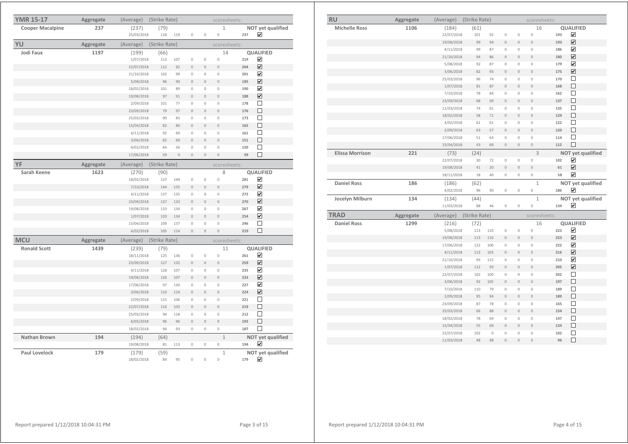| <b>RU</b>              | Aggregate | (Average)  | (Strike Rate) |             |                |                     | scoresheets:        |     |                         |
|------------------------|-----------|------------|---------------|-------------|----------------|---------------------|---------------------|-----|-------------------------|
| <b>Michelle Ross</b>   | 1106      | (184)      | (61)          |             |                |                     | 16                  |     | <b>QUALIFIED</b>        |
|                        |           | 22/07/2018 | 101           | 92          | $\mathbf 0$    | $\mathbf 0$         | $\mathbf 0$         | 193 | $\blacktriangledown$    |
|                        |           | 19/08/2018 | 99            | 94          | $\mathbf 0$    | $\mathbf 0$         | $\mathbf 0$         | 193 | ☑                       |
|                        |           | 4/11/2018  | 99            | 87          | $\mathbf 0$    | $\mathbb O$         | $\overline{0}$      | 186 | $\overline{\mathbf{v}}$ |
|                        |           | 21/10/2018 | 94            | 86          | $\mathbf 0$    | $\overline{0}$      | $\overline{0}$      | 180 | $\blacktriangledown$    |
|                        |           | 5/08/2018  | 92            | 87          | $\mathbb O$    | 0                   | $\mathbf 0$         | 179 | $\blacktriangledown$    |
|                        |           | 3/06/2018  | 82            | 93          | $\mathbf 0$    | $\mathbf 0$         | $\bf{0}$            | 175 | ☑                       |
|                        |           | 25/03/2018 | 96            | 74          | $\mathbf 0$    | $\mathbf{0}$        | $\mathbf{0}$        | 170 | П                       |
|                        |           | 1/07/2018  | 81            | 87          | $\overline{0}$ | $\overline{0}$      | $\overline{0}$      | 168 | П                       |
|                        |           | 7/10/2018  | 78            | 84          | $\mathbf 0$    | $\mathbf 0$         | $\mathbf{0}$        | 162 | П                       |
|                        |           | 23/09/2018 | 68            | 69          | $\overline{0}$ | $\overline{0}$      | $\overline{0}$      | 137 | $\Box$                  |
|                        |           | 11/03/2018 | 74            | 61          | $\mathbf 0$    | 0                   | $\mathsf{O}\xspace$ | 135 | $\Box$                  |
|                        |           | 18/02/2018 | 58            | 71          | $\mathbf 0$    | $\overline{0}$      | $\overline{0}$      | 129 | □                       |
|                        |           | 4/02/2018  | 61            | 61          | $\mathbf 0$    | $\overline{0}$      | $\mathsf{O}\xspace$ | 122 | $\Box$                  |
|                        |           | 2/09/2018  | 63            | 57          | $\bf{0}$       | $\mathbf 0$         | $\mathbf 0$         | 120 | $\Box$                  |
|                        |           | 17/06/2018 | 51            | 63          | $\mathbf 0$    | $\mathbb O$         | $\mathbb O$         | 114 | $\Box$                  |
|                        |           | 15/04/2018 | 43            | 69          | $\mathbf{0}$   | $\overline{0}$      | $\mathbf{0}$        | 112 | □                       |
| <b>Elissa Morrison</b> | 221       | (73)       | (24)          |             |                |                     | $\overline{3}$      |     | NOT yet qualified       |
|                        |           | 22/07/2018 | 30            | 72          | $\mathbf 0$    | $\mathbb O$         | $\mathbf 0$         | 102 | $\overline{\mathbf{v}}$ |
|                        |           | 19/08/2018 | 41            | 20          | $\overline{0}$ | $\overline{0}$      | $\overline{0}$      | 61  | $\overline{\mathbf{v}}$ |
|                        |           | 18/11/2018 | 18            | 40          | $\mathbf 0$    | $\mathbb O$         | $\mathbf 0$         | 58  | $\blacktriangledown$    |
| <b>Daniel Ross</b>     | 186       | (186)      | (62)          |             |                |                     | $\mathbf{1}$        |     | NOT yet qualified       |
|                        |           |            |               |             |                |                     |                     |     | ☑                       |
|                        |           | 4/02/2018  | 96            | 90          | $\mathbb O$    | $\mathbb O$         | $\mathbb O$         | 186 |                         |
| Jocelyn Milburn        | 134       | (134)      | (44)          |             |                |                     | $1\,$               |     | NOT yet qualified       |
|                        |           | 11/03/2018 | 88            | 46          | $\mathbb O$    | $\mathbb O$         | $\mathbf 0$         | 134 | ☑                       |
| <b>TRAD</b>            | Aggregate | (Average)  | (Strike Rate) |             |                |                     | scoresheets:        |     |                         |
| <b>Daniel Ross</b>     | 1299      | (216)      | (72)          |             |                |                     | 16                  |     | <b>QUALIFIED</b>        |
|                        |           | 5/08/2018  | 113           | 110         | $\mathbf 0$    | $\circ$             | $\mathbf 0$         | 223 | $\overline{\mathbf{v}}$ |
|                        |           | 19/08/2018 | 113           | 110         | $\mathbf 0$    | $\overline{0}$      | $\overline{0}$      | 223 | $\overline{\mathbf{v}}$ |
|                        |           | 17/06/2018 | 122           | 100         | $\mathbf 0$    | 0                   | $\mathbf 0$         | 222 | ☑                       |
|                        |           | 4/11/2018  | 113           | 103         | $\mathbf 0$    | $\overline{0}$      | $\mathbf{0}$        | 216 | ☑                       |
|                        |           | 21/10/2018 | 95            | 115         | $\mathbb O$    | $\mathbb O$         | $\mathbf 0$         | 210 | ☑                       |
|                        |           | 1/07/2018  | 112           | 93          | $\mathbf 0$    | $\mathsf{O}\xspace$ | $\mathbf 0$         | 205 | ☑                       |
|                        |           | 22/07/2018 | 102           | 100         | $\mathbf 0$    | 0                   | $\mathbf 0$         | 202 | $\Box$                  |
|                        |           | 3/06/2018  | 92            | 105         | $\overline{0}$ | $\overline{0}$      | $\overline{0}$      | 197 | $\Box$                  |
|                        |           | 7/10/2018  | 110           | 79          | $\mathbf 0$    | $\mathbb O$         | $\mathbb O$         | 189 | $\Box$                  |
|                        |           | 2/09/2018  | 95            | 94          | $\overline{0}$ | $\overline{0}$      | $\overline{0}$      | 189 | П                       |
|                        |           | 23/09/2018 | 87            | 78          | $\mathbf 0$    | $\circ$             | $\mathsf{O}\xspace$ | 165 | $\Box$                  |
|                        |           | 25/03/2018 | 66            | 88          | $\overline{0}$ | $\overline{0}$      | $\overline{0}$      | 154 | □                       |
|                        |           | 18/02/2018 | 78            | 69          | $\mathbf 0$    | $\circ$             | $\mathbf 0$         | 147 | $\Box$                  |
|                        |           | 15/04/2018 | 55            | 69          | $\bf{0}$       | $\mathbf 0$         | $\circ$             | 124 | $\Box$                  |
|                        |           | 22/07/2018 | 102           | $\mathbb O$ | $\mathbf 0$    | 0                   | $\mathsf{O}\xspace$ | 102 | $\Box$                  |

| <b>YMR 15-17</b>        | Aggregate | (Average)  | (Strike Rate) |              |                |                | scoresheets:   |     |                         |
|-------------------------|-----------|------------|---------------|--------------|----------------|----------------|----------------|-----|-------------------------|
| <b>Cooper Macalpine</b> | 237       | (237)      | (79)          |              |                |                | $\mathbf{1}$   |     | NOT yet qualified       |
|                         |           | 25/03/2018 | 118           | 119          | $\mathbb O$    | $\mathbf 0$    | $\mathbf 0$    | 237 | ☑                       |
| YU                      | Aggregate | (Average)  | (Strike Rate) |              |                |                | scoresheets:   |     |                         |
| <b>Jodi Faux</b>        | 1197      | (199)      | (66)          |              |                |                | 14             |     | <b>QUALIFIED</b>        |
|                         |           | 1/07/2018  | 112           | 107          | $\mathbf 0$    | $\mathbb O$    | $\mathbf 0$    | 219 | ☑                       |
|                         |           | 22/07/2018 | 112           | 92           | $\circ$        | $\mathbf 0$    | $\theta$       | 204 | $\overline{\mathbf{v}}$ |
|                         |           | 21/10/2018 | 102           | 99           | $\circ$        | $\mathbf 0$    | $\mathbf 0$    | 201 | $\overline{\mathbf{v}}$ |
|                         |           | 5/08/2018  | 96            | 99           | $\mathbf{0}$   | $\mathbf 0$    | $\mathbf 0$    | 195 | $\overline{\mathbf{v}}$ |
|                         |           | 18/02/2018 | 101           | 89           | $\mathbf 0$    | $\mathbb O$    | $\mathbb O$    | 190 | ☑                       |
|                         |           | 19/08/2018 | 97            | 91           | $\overline{0}$ | $\overline{0}$ | $\overline{0}$ | 188 | ☑                       |
|                         |           | 2/09/2018  | 101           | 77           | $\mathbb O$    | $\mathbf{0}$   | $\mathbb O$    | 178 | □                       |
|                         |           | 23/09/2018 | 79            | 97           | $\mathbf 0$    | $\mathbf 0$    | $\mathbf 0$    | 176 | □                       |
|                         |           | 25/03/2018 | 90            | 83           | $\mathbb O$    | $\mathbb O$    | $\mathbb O$    | 173 | □                       |
|                         |           | 15/04/2018 | 82            | 80           | $\mathbf{0}$   | $\mathbf{0}$   | $\mathbf{0}$   | 162 | □                       |
|                         |           | 4/11/2018  | 92            | 69           | $\mathbf 0$    | $\mathbf 0$    | $\mathbf 0$    | 161 | П                       |
|                         |           | 3/06/2018  | 82            | 69           | $\theta$       | $\overline{0}$ | $\overline{0}$ | 151 | □                       |
|                         |           | 4/02/2018  | 64            | 56           | $\mathbf{0}$   | $\mathbb O$    | $\mathbb O$    | 120 | □                       |
|                         |           | 17/06/2018 | 59            | $\mathbf{0}$ | $\mathbf 0$    | $\mathbf 0$    | $\mathbf 0$    | 59  | □                       |
| YF                      | Aggregate | (Average)  | (Strike Rate) |              |                |                | scoresheets:   |     |                         |
| Sarah Keene             | 1623      | (270)      | (90)          |              |                |                | 8              |     | QUALIFIED               |
|                         |           | 18/02/2018 | 137           | 144          | $\mathbf 0$    | $\mathbb O$    | $\mathbf 0$    | 281 | ☑                       |
|                         |           | 7/10/2018  | 144           | 135          | $\mathbf{0}$   | $\mathbf{0}$   | $\theta$       | 279 | ☑                       |
|                         |           | 4/11/2018  | 137           | 135          | $\mathbf 0$    | $\mathbf 0$    | $\mathbf 0$    | 272 | ☑                       |
|                         |           | 23/09/2018 | 137           | 133          | $\theta$       | $\overline{0}$ | $\overline{0}$ | 270 | ☑                       |
|                         |           | 19/08/2018 | 133           | 134          | $\theta$       | $\mathbf{0}$   | $\mathbf{0}$   | 267 | ⊽                       |
|                         |           | 1/07/2018  | 120           | 134          | $\theta$       | $\mathbf 0$    | $\mathbf 0$    | 254 | ☑                       |
|                         |           | 15/04/2018 | 109           | 137          | $\mathbf{0}$   | $\mathbf 0$    | $\circ$        | 246 | □                       |
|                         |           | 4/02/2018  | 105           | 114          | $\mathbf{0}$   | $\overline{0}$ | $\overline{0}$ | 219 | П                       |
| <b>MCU</b>              | Aggregate | (Average)  | (Strike Rate) |              |                |                | scoresheets:   |     |                         |
| <b>Ronald Scott</b>     | 1439      | (239)      | (79)          |              |                |                | 11             |     | QUALIFIED               |
|                         |           | 18/11/2018 | 125           | 136          | $\mathbf 0$    | $\mathbb O$    | $\circ$        | 261 | ☑                       |
|                         |           | 23/09/2018 | 127           | 132          | $\mathbf{0}$   | $\mathbf{0}$   | $\theta$       | 259 | $\overline{\mathbf{v}}$ |
|                         |           | 4/11/2018  | 128           | 107          | $\theta$       | $\mathbf{0}$   | $\mathbf{0}$   | 235 | ☑                       |
|                         |           | 19/08/2018 | 126           | 107          | $\mathbf 0$    | $\mathbf{0}$   | $\mathbf 0$    | 233 | ☑                       |
|                         |           | 17/06/2018 | 97            | 130          | $\theta$       | $\mathbf 0$    | $\mathbf 0$    | 227 | ⊽                       |
|                         |           | 3/06/2018  | 110           | 114          | $\Omega$       | $\Omega$       | $\overline{0}$ | 224 | ☑                       |
|                         |           | 2/09/2018  | 115           | 106          | $\mathbf 0$    | $\mathbf 0$    | $\mathbf 0$    | 221 | □                       |
|                         |           | 22/07/2018 | 116           | 103          | $\theta$       | $\circ$        | $\circ$        | 219 | □                       |
|                         |           | 25/03/2018 | 94            | 118          | $\mathbf{0}$   | $\mathbf{0}$   | $\mathbf{0}$   | 212 | □                       |
|                         |           | 6/05/2018  | 96            | 96           | $\mathbf 0$    | $\mathbf 0$    | $\overline{0}$ | 192 | $\Box$                  |
|                         |           | 18/02/2018 | 94            | 93           | $\circ$        | $\circ$        | $\mathbf 0$    | 187 | П                       |
| Nathan Brown            | 194       | (194)      | (64)          |              |                |                | $\mathbf{1}$   |     | NOT yet qualified       |
|                         |           | 19/08/2018 | 81            | 113          | $\mathbf 0$    | $\mathbf 0$    | $\circ$        | 194 | ☑                       |
| Paul Lovelock           | 179       | (179)      | (59)          |              |                |                | $1\,$          |     | NOT yet qualified       |
|                         |           | 18/02/2018 | 84            | 95           | $\mathbb O$    | $\mathbb O$    | $\mathbf 0$    | 179 | ☑                       |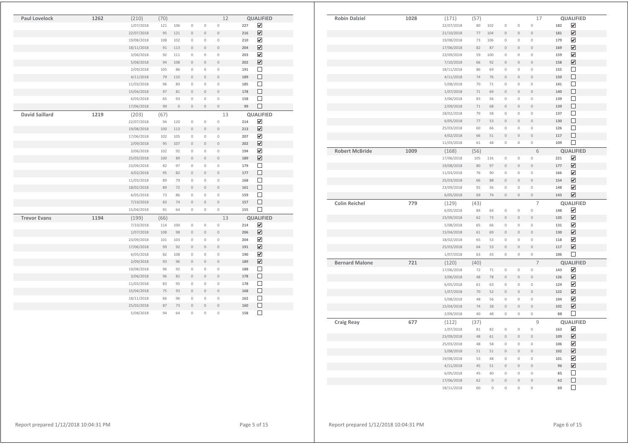| (57)<br>17<br>QUALIFIED<br>1028<br>(171)<br>☑<br>$\mathbb O$<br>182<br>22/07/2018<br>80<br>102<br>$\mathbb O$<br>$\,0\,$<br>☑<br>$\circ$<br>77<br>104<br>$\mathbf 0$<br>$\mathbf 0$<br>181<br>21/10/2018<br>☑<br>19/08/2018<br>106<br>$\mathbb O$<br>$\mathbf 0$<br>$\mathbb O$<br>179<br>73<br>$\overline{\mathbf{v}}$<br>$\mathbf 0$<br>17/06/2018<br>82<br>87<br>$\mathbf 0$<br>$\mathbf 0$<br>169<br>$\overline{\mathbf{v}}$<br>23/09/2018<br>$\mathbb O$<br>159<br>59<br>100<br>$\mathbb O$<br>$\mathbf 0$<br>☑<br>7/10/2018<br>$\mathbf 0$<br>$\mathbf 0$<br>158<br>66<br>92<br>$\mathbb O$<br>$\Box$<br>18/11/2018<br>69<br>$\mathbb O$<br>$\mathbf 0$<br>$\mathbb O$<br>155<br>86<br>П<br>74<br>$\mathbf{0}$<br>$\overline{0}$<br>150<br>4/11/2018<br>76<br>$\overline{0}$<br>$\Box$<br>5/08/2018<br>70<br>71<br>$\mathbb O$<br>$\mathbf 0$<br>$\mathbb O$<br>141<br>П<br>$\,0\,$<br>$\,0\,$<br>1/07/2018<br>$71\,$<br>69<br>$\mathbb O$<br>140<br>□<br>3/06/2018<br>$\mathbb O$<br>$\mathbb O$<br>$\mathbb O$<br>139<br>83<br>56<br>□<br>2/09/2018<br>71<br>68<br>$\mathbb O$<br>$\,0\,$<br>$\,0\,$<br>139<br>$\Box$<br>18/02/2018<br>79<br>$\mathbf 0$<br>$\mathbb O$<br>137<br>58<br>$\mathbb O$<br>$\Box$<br>$\mathbf 0$<br>$\mathbf 0$<br>$\mathbf 0$<br>130<br>6/05/2018<br>$77 \,$<br>53<br>□<br>$\mathbb O$<br>126<br>25/03/2018<br>60<br>66<br>$\mathbb O$<br>$\mathbb O$<br>$\Box$<br>$\mathbf 0$<br>4/02/2018<br>$\mathbb O$<br>$\mathbb O$<br>117<br>66<br>51<br>$\Box$<br>11/03/2018<br>109<br>61<br>48<br>$\mathbf{0}$<br>$\mathbb O$<br>$\mathbb O$<br>1009<br>6<br><b>QUALIFIED</b><br>(56)<br>(168)<br>$\blacktriangledown$<br>17/06/2018<br>105<br>$\mathbb O$<br>221<br>116<br>$\mathbb O$<br>$\mathbb O$<br>$\overline{\mathbf{v}}$<br>19/08/2018<br>80<br>97<br>$\mathbf 0$<br>$\mathbf 0$<br>$\mathbf 0$<br>177<br>☑<br>$\mathbf 0$<br>$\mathbf 0$<br>$\mathbb O$<br>11/03/2018<br>76<br>90<br>166<br>☑<br>$\circ$<br>25/03/2018<br>$\overline{0}$<br>$\mathbf 0$<br>154<br>66<br>88<br>☑<br>$\mathbf 0$<br>$\mathbf 0$<br>$\mathbf 0$<br>23/09/2018<br>148<br>92<br>56<br>$\overline{\mathbf{v}}$<br>6/05/2018<br>69<br>$\mathbb O$<br>$\mathbf 0$<br>$\mathbf 0$<br>143<br>74<br>779<br>$\overline{7}$<br>QUALIFIED<br>(129)<br>(43)<br>☑<br>6/05/2018<br>$\,0\,$<br>$\,0\,$<br>$\mathbb O$<br>148<br>84<br>64<br>☑<br>23/09/2018<br>62<br>73<br>$\mathbb O$<br>$\mathbf 0$<br>$\mathbf 0$<br>135<br>$\overline{\mathbf{v}}$<br>5/08/2018<br>65<br>$\mathbf 0$<br>$\mathbf 0$<br>$\mathbf 0$<br>131<br>66<br>$\overline{\mathbf{v}}$<br>15/04/2018<br>$\mathbf 0$<br>$\mathbf 0$<br>$\mathbf 0$<br>130<br>61<br>69<br>$\blacktriangledown$<br>18/02/2018<br>$\mathbf 0$<br>$\mathbb O$<br>118<br>65<br>53<br>$\mathbb O$<br>$\overline{\mathbf{v}}$<br>$\mathbf 0$<br>$\mathbf 0$<br>$\overline{0}$<br>25/03/2018<br>64<br>53<br>117<br>$\Box$<br>1/07/2018<br>$\mathbf 0$<br>$\mathbf 0$<br>$\mathbb O$<br>106<br>63<br>43<br>$\overline{7}$<br>721<br><b>QUALIFIED</b><br>(40)<br>(120)<br>$\blacktriangledown$<br>17/06/2018<br>72<br>71<br>$\,0\,$<br>$\mathbf 0$<br>$\mathbb O$<br>143<br>$\overline{\mathbf{v}}$<br>3/06/2018<br>48<br>78<br>$\mathbf 0$<br>$\mathbf 0$<br>$\mathbf 0$<br>126<br>$\blacktriangledown$<br>$\mathbb O$<br>$\mathbb O$<br>$\mathbb O$<br>124<br>6/05/2018<br>61<br>63<br>☑<br>$\circ$<br>$\circ$<br>$\circ$<br>1/07/2018<br>70<br>52<br>122<br>☑<br>$\mathbb O$<br>$\mathbb O$<br>$\mathbb O$<br>5/08/2018<br>56<br>104<br>48<br>$\overline{\mathbf{v}}$<br>$\overline{0}$<br>74<br>$\overline{0}$<br>$\overline{0}$<br>102<br>15/04/2018<br>28<br>П<br>2/09/2018<br>40<br>48<br>$\,0\,$<br>$\mathbb O$<br>$\mathbb O$<br>88<br>677<br>9<br>QUALIFIED<br>(112)<br>(37)<br>☑<br>1/07/2018<br>82<br>$\mathbb O$<br>$\mathbf 0$<br>$\mathbb O$<br>163<br>81<br>☑<br>23/09/2018<br>48<br>61<br>$\mathbb O$<br>$\mathbb O$<br>$\mathbb O$<br>109<br>$\overline{\mathbf{v}}$<br>25/03/2018<br>58<br>$\mathbb O$<br>$\mathbb O$<br>$\mathbb O$<br>106<br>48<br>$\overline{\mathbf{v}}$<br>$\overline{0}$<br>102<br>5/08/2018<br>51<br>51<br>$\mathbb O$<br>$\mathbb O$<br>$\overline{\mathbf{v}}$<br>$\mathbb O$<br>$\mathbb O$<br>101<br>19/08/2018<br>53<br>48<br>$\mathbb O$<br>☑<br>4/11/2018<br>45<br>51<br>$\,0\,$<br>$\mathbb O$<br>$\mathbb O$<br>96<br>$\Box$<br>6/05/2018<br>45<br>40<br>$\mathbb O$<br>$\mathbb O$<br>$\mathbb O$<br>85<br>□<br>$\circ$<br>$\circ$<br>17/06/2018<br>$\mathbf 0$<br>$\,0\,$<br>62<br>62<br>П<br>18/11/2018<br>60<br>$\overline{0}$<br>$\overline{0}$<br>$\overline{0}$<br>$\mathbf 0$<br>60 |                       |  |  |  |  |  |
|---------------------------------------------------------------------------------------------------------------------------------------------------------------------------------------------------------------------------------------------------------------------------------------------------------------------------------------------------------------------------------------------------------------------------------------------------------------------------------------------------------------------------------------------------------------------------------------------------------------------------------------------------------------------------------------------------------------------------------------------------------------------------------------------------------------------------------------------------------------------------------------------------------------------------------------------------------------------------------------------------------------------------------------------------------------------------------------------------------------------------------------------------------------------------------------------------------------------------------------------------------------------------------------------------------------------------------------------------------------------------------------------------------------------------------------------------------------------------------------------------------------------------------------------------------------------------------------------------------------------------------------------------------------------------------------------------------------------------------------------------------------------------------------------------------------------------------------------------------------------------------------------------------------------------------------------------------------------------------------------------------------------------------------------------------------------------------------------------------------------------------------------------------------------------------------------------------------------------------------------------------------------------------------------------------------------------------------------------------------------------------------------------------------------------------------------------------------------------------------------------------------------------------------------------------------------------------------------------------------------------------------------------------------------------------------------------------------------------------------------------------------------------------------------------------------------------------------------------------------------------------------------------------------------------------------------------------------------------------------------------------------------------------------------------------------------------------------------------------------------------------------------------------------------------------------------------------------------------------------------------------------------------------------------------------------------------------------------------------------------------------------------------------------------------------------------------------------------------------------------------------------------------------------------------------------------------------------------------------------------------------------------------------------------------------------------------------------------------------------------------------------------------------------------------------------------------------------------------------------------------------------------------------------------------------------------------------------------------------------------------------------------------------------------------------------------------------------------------------------------------------------------------------------------------------------------------------------------------------------------------------------------------------------------------------------------------------------------------------------------------------------------------------------------------------------------------------------------------------------------------------------------------------------------------------------------------------------------------|-----------------------|--|--|--|--|--|
|                                                                                                                                                                                                                                                                                                                                                                                                                                                                                                                                                                                                                                                                                                                                                                                                                                                                                                                                                                                                                                                                                                                                                                                                                                                                                                                                                                                                                                                                                                                                                                                                                                                                                                                                                                                                                                                                                                                                                                                                                                                                                                                                                                                                                                                                                                                                                                                                                                                                                                                                                                                                                                                                                                                                                                                                                                                                                                                                                                                                                                                                                                                                                                                                                                                                                                                                                                                                                                                                                                                                                                                                                                                                                                                                                                                                                                                                                                                                                                                                                                                                                                                                                                                                                                                                                                                                                                                                                                                                                                                                                                                                   | <b>Robin Dalziel</b>  |  |  |  |  |  |
|                                                                                                                                                                                                                                                                                                                                                                                                                                                                                                                                                                                                                                                                                                                                                                                                                                                                                                                                                                                                                                                                                                                                                                                                                                                                                                                                                                                                                                                                                                                                                                                                                                                                                                                                                                                                                                                                                                                                                                                                                                                                                                                                                                                                                                                                                                                                                                                                                                                                                                                                                                                                                                                                                                                                                                                                                                                                                                                                                                                                                                                                                                                                                                                                                                                                                                                                                                                                                                                                                                                                                                                                                                                                                                                                                                                                                                                                                                                                                                                                                                                                                                                                                                                                                                                                                                                                                                                                                                                                                                                                                                                                   |                       |  |  |  |  |  |
|                                                                                                                                                                                                                                                                                                                                                                                                                                                                                                                                                                                                                                                                                                                                                                                                                                                                                                                                                                                                                                                                                                                                                                                                                                                                                                                                                                                                                                                                                                                                                                                                                                                                                                                                                                                                                                                                                                                                                                                                                                                                                                                                                                                                                                                                                                                                                                                                                                                                                                                                                                                                                                                                                                                                                                                                                                                                                                                                                                                                                                                                                                                                                                                                                                                                                                                                                                                                                                                                                                                                                                                                                                                                                                                                                                                                                                                                                                                                                                                                                                                                                                                                                                                                                                                                                                                                                                                                                                                                                                                                                                                                   |                       |  |  |  |  |  |
|                                                                                                                                                                                                                                                                                                                                                                                                                                                                                                                                                                                                                                                                                                                                                                                                                                                                                                                                                                                                                                                                                                                                                                                                                                                                                                                                                                                                                                                                                                                                                                                                                                                                                                                                                                                                                                                                                                                                                                                                                                                                                                                                                                                                                                                                                                                                                                                                                                                                                                                                                                                                                                                                                                                                                                                                                                                                                                                                                                                                                                                                                                                                                                                                                                                                                                                                                                                                                                                                                                                                                                                                                                                                                                                                                                                                                                                                                                                                                                                                                                                                                                                                                                                                                                                                                                                                                                                                                                                                                                                                                                                                   |                       |  |  |  |  |  |
|                                                                                                                                                                                                                                                                                                                                                                                                                                                                                                                                                                                                                                                                                                                                                                                                                                                                                                                                                                                                                                                                                                                                                                                                                                                                                                                                                                                                                                                                                                                                                                                                                                                                                                                                                                                                                                                                                                                                                                                                                                                                                                                                                                                                                                                                                                                                                                                                                                                                                                                                                                                                                                                                                                                                                                                                                                                                                                                                                                                                                                                                                                                                                                                                                                                                                                                                                                                                                                                                                                                                                                                                                                                                                                                                                                                                                                                                                                                                                                                                                                                                                                                                                                                                                                                                                                                                                                                                                                                                                                                                                                                                   |                       |  |  |  |  |  |
|                                                                                                                                                                                                                                                                                                                                                                                                                                                                                                                                                                                                                                                                                                                                                                                                                                                                                                                                                                                                                                                                                                                                                                                                                                                                                                                                                                                                                                                                                                                                                                                                                                                                                                                                                                                                                                                                                                                                                                                                                                                                                                                                                                                                                                                                                                                                                                                                                                                                                                                                                                                                                                                                                                                                                                                                                                                                                                                                                                                                                                                                                                                                                                                                                                                                                                                                                                                                                                                                                                                                                                                                                                                                                                                                                                                                                                                                                                                                                                                                                                                                                                                                                                                                                                                                                                                                                                                                                                                                                                                                                                                                   |                       |  |  |  |  |  |
|                                                                                                                                                                                                                                                                                                                                                                                                                                                                                                                                                                                                                                                                                                                                                                                                                                                                                                                                                                                                                                                                                                                                                                                                                                                                                                                                                                                                                                                                                                                                                                                                                                                                                                                                                                                                                                                                                                                                                                                                                                                                                                                                                                                                                                                                                                                                                                                                                                                                                                                                                                                                                                                                                                                                                                                                                                                                                                                                                                                                                                                                                                                                                                                                                                                                                                                                                                                                                                                                                                                                                                                                                                                                                                                                                                                                                                                                                                                                                                                                                                                                                                                                                                                                                                                                                                                                                                                                                                                                                                                                                                                                   |                       |  |  |  |  |  |
|                                                                                                                                                                                                                                                                                                                                                                                                                                                                                                                                                                                                                                                                                                                                                                                                                                                                                                                                                                                                                                                                                                                                                                                                                                                                                                                                                                                                                                                                                                                                                                                                                                                                                                                                                                                                                                                                                                                                                                                                                                                                                                                                                                                                                                                                                                                                                                                                                                                                                                                                                                                                                                                                                                                                                                                                                                                                                                                                                                                                                                                                                                                                                                                                                                                                                                                                                                                                                                                                                                                                                                                                                                                                                                                                                                                                                                                                                                                                                                                                                                                                                                                                                                                                                                                                                                                                                                                                                                                                                                                                                                                                   |                       |  |  |  |  |  |
|                                                                                                                                                                                                                                                                                                                                                                                                                                                                                                                                                                                                                                                                                                                                                                                                                                                                                                                                                                                                                                                                                                                                                                                                                                                                                                                                                                                                                                                                                                                                                                                                                                                                                                                                                                                                                                                                                                                                                                                                                                                                                                                                                                                                                                                                                                                                                                                                                                                                                                                                                                                                                                                                                                                                                                                                                                                                                                                                                                                                                                                                                                                                                                                                                                                                                                                                                                                                                                                                                                                                                                                                                                                                                                                                                                                                                                                                                                                                                                                                                                                                                                                                                                                                                                                                                                                                                                                                                                                                                                                                                                                                   |                       |  |  |  |  |  |
|                                                                                                                                                                                                                                                                                                                                                                                                                                                                                                                                                                                                                                                                                                                                                                                                                                                                                                                                                                                                                                                                                                                                                                                                                                                                                                                                                                                                                                                                                                                                                                                                                                                                                                                                                                                                                                                                                                                                                                                                                                                                                                                                                                                                                                                                                                                                                                                                                                                                                                                                                                                                                                                                                                                                                                                                                                                                                                                                                                                                                                                                                                                                                                                                                                                                                                                                                                                                                                                                                                                                                                                                                                                                                                                                                                                                                                                                                                                                                                                                                                                                                                                                                                                                                                                                                                                                                                                                                                                                                                                                                                                                   |                       |  |  |  |  |  |
|                                                                                                                                                                                                                                                                                                                                                                                                                                                                                                                                                                                                                                                                                                                                                                                                                                                                                                                                                                                                                                                                                                                                                                                                                                                                                                                                                                                                                                                                                                                                                                                                                                                                                                                                                                                                                                                                                                                                                                                                                                                                                                                                                                                                                                                                                                                                                                                                                                                                                                                                                                                                                                                                                                                                                                                                                                                                                                                                                                                                                                                                                                                                                                                                                                                                                                                                                                                                                                                                                                                                                                                                                                                                                                                                                                                                                                                                                                                                                                                                                                                                                                                                                                                                                                                                                                                                                                                                                                                                                                                                                                                                   |                       |  |  |  |  |  |
|                                                                                                                                                                                                                                                                                                                                                                                                                                                                                                                                                                                                                                                                                                                                                                                                                                                                                                                                                                                                                                                                                                                                                                                                                                                                                                                                                                                                                                                                                                                                                                                                                                                                                                                                                                                                                                                                                                                                                                                                                                                                                                                                                                                                                                                                                                                                                                                                                                                                                                                                                                                                                                                                                                                                                                                                                                                                                                                                                                                                                                                                                                                                                                                                                                                                                                                                                                                                                                                                                                                                                                                                                                                                                                                                                                                                                                                                                                                                                                                                                                                                                                                                                                                                                                                                                                                                                                                                                                                                                                                                                                                                   |                       |  |  |  |  |  |
|                                                                                                                                                                                                                                                                                                                                                                                                                                                                                                                                                                                                                                                                                                                                                                                                                                                                                                                                                                                                                                                                                                                                                                                                                                                                                                                                                                                                                                                                                                                                                                                                                                                                                                                                                                                                                                                                                                                                                                                                                                                                                                                                                                                                                                                                                                                                                                                                                                                                                                                                                                                                                                                                                                                                                                                                                                                                                                                                                                                                                                                                                                                                                                                                                                                                                                                                                                                                                                                                                                                                                                                                                                                                                                                                                                                                                                                                                                                                                                                                                                                                                                                                                                                                                                                                                                                                                                                                                                                                                                                                                                                                   |                       |  |  |  |  |  |
|                                                                                                                                                                                                                                                                                                                                                                                                                                                                                                                                                                                                                                                                                                                                                                                                                                                                                                                                                                                                                                                                                                                                                                                                                                                                                                                                                                                                                                                                                                                                                                                                                                                                                                                                                                                                                                                                                                                                                                                                                                                                                                                                                                                                                                                                                                                                                                                                                                                                                                                                                                                                                                                                                                                                                                                                                                                                                                                                                                                                                                                                                                                                                                                                                                                                                                                                                                                                                                                                                                                                                                                                                                                                                                                                                                                                                                                                                                                                                                                                                                                                                                                                                                                                                                                                                                                                                                                                                                                                                                                                                                                                   |                       |  |  |  |  |  |
|                                                                                                                                                                                                                                                                                                                                                                                                                                                                                                                                                                                                                                                                                                                                                                                                                                                                                                                                                                                                                                                                                                                                                                                                                                                                                                                                                                                                                                                                                                                                                                                                                                                                                                                                                                                                                                                                                                                                                                                                                                                                                                                                                                                                                                                                                                                                                                                                                                                                                                                                                                                                                                                                                                                                                                                                                                                                                                                                                                                                                                                                                                                                                                                                                                                                                                                                                                                                                                                                                                                                                                                                                                                                                                                                                                                                                                                                                                                                                                                                                                                                                                                                                                                                                                                                                                                                                                                                                                                                                                                                                                                                   |                       |  |  |  |  |  |
|                                                                                                                                                                                                                                                                                                                                                                                                                                                                                                                                                                                                                                                                                                                                                                                                                                                                                                                                                                                                                                                                                                                                                                                                                                                                                                                                                                                                                                                                                                                                                                                                                                                                                                                                                                                                                                                                                                                                                                                                                                                                                                                                                                                                                                                                                                                                                                                                                                                                                                                                                                                                                                                                                                                                                                                                                                                                                                                                                                                                                                                                                                                                                                                                                                                                                                                                                                                                                                                                                                                                                                                                                                                                                                                                                                                                                                                                                                                                                                                                                                                                                                                                                                                                                                                                                                                                                                                                                                                                                                                                                                                                   |                       |  |  |  |  |  |
|                                                                                                                                                                                                                                                                                                                                                                                                                                                                                                                                                                                                                                                                                                                                                                                                                                                                                                                                                                                                                                                                                                                                                                                                                                                                                                                                                                                                                                                                                                                                                                                                                                                                                                                                                                                                                                                                                                                                                                                                                                                                                                                                                                                                                                                                                                                                                                                                                                                                                                                                                                                                                                                                                                                                                                                                                                                                                                                                                                                                                                                                                                                                                                                                                                                                                                                                                                                                                                                                                                                                                                                                                                                                                                                                                                                                                                                                                                                                                                                                                                                                                                                                                                                                                                                                                                                                                                                                                                                                                                                                                                                                   |                       |  |  |  |  |  |
|                                                                                                                                                                                                                                                                                                                                                                                                                                                                                                                                                                                                                                                                                                                                                                                                                                                                                                                                                                                                                                                                                                                                                                                                                                                                                                                                                                                                                                                                                                                                                                                                                                                                                                                                                                                                                                                                                                                                                                                                                                                                                                                                                                                                                                                                                                                                                                                                                                                                                                                                                                                                                                                                                                                                                                                                                                                                                                                                                                                                                                                                                                                                                                                                                                                                                                                                                                                                                                                                                                                                                                                                                                                                                                                                                                                                                                                                                                                                                                                                                                                                                                                                                                                                                                                                                                                                                                                                                                                                                                                                                                                                   |                       |  |  |  |  |  |
|                                                                                                                                                                                                                                                                                                                                                                                                                                                                                                                                                                                                                                                                                                                                                                                                                                                                                                                                                                                                                                                                                                                                                                                                                                                                                                                                                                                                                                                                                                                                                                                                                                                                                                                                                                                                                                                                                                                                                                                                                                                                                                                                                                                                                                                                                                                                                                                                                                                                                                                                                                                                                                                                                                                                                                                                                                                                                                                                                                                                                                                                                                                                                                                                                                                                                                                                                                                                                                                                                                                                                                                                                                                                                                                                                                                                                                                                                                                                                                                                                                                                                                                                                                                                                                                                                                                                                                                                                                                                                                                                                                                                   | <b>Robert McBride</b> |  |  |  |  |  |
|                                                                                                                                                                                                                                                                                                                                                                                                                                                                                                                                                                                                                                                                                                                                                                                                                                                                                                                                                                                                                                                                                                                                                                                                                                                                                                                                                                                                                                                                                                                                                                                                                                                                                                                                                                                                                                                                                                                                                                                                                                                                                                                                                                                                                                                                                                                                                                                                                                                                                                                                                                                                                                                                                                                                                                                                                                                                                                                                                                                                                                                                                                                                                                                                                                                                                                                                                                                                                                                                                                                                                                                                                                                                                                                                                                                                                                                                                                                                                                                                                                                                                                                                                                                                                                                                                                                                                                                                                                                                                                                                                                                                   |                       |  |  |  |  |  |
|                                                                                                                                                                                                                                                                                                                                                                                                                                                                                                                                                                                                                                                                                                                                                                                                                                                                                                                                                                                                                                                                                                                                                                                                                                                                                                                                                                                                                                                                                                                                                                                                                                                                                                                                                                                                                                                                                                                                                                                                                                                                                                                                                                                                                                                                                                                                                                                                                                                                                                                                                                                                                                                                                                                                                                                                                                                                                                                                                                                                                                                                                                                                                                                                                                                                                                                                                                                                                                                                                                                                                                                                                                                                                                                                                                                                                                                                                                                                                                                                                                                                                                                                                                                                                                                                                                                                                                                                                                                                                                                                                                                                   |                       |  |  |  |  |  |
|                                                                                                                                                                                                                                                                                                                                                                                                                                                                                                                                                                                                                                                                                                                                                                                                                                                                                                                                                                                                                                                                                                                                                                                                                                                                                                                                                                                                                                                                                                                                                                                                                                                                                                                                                                                                                                                                                                                                                                                                                                                                                                                                                                                                                                                                                                                                                                                                                                                                                                                                                                                                                                                                                                                                                                                                                                                                                                                                                                                                                                                                                                                                                                                                                                                                                                                                                                                                                                                                                                                                                                                                                                                                                                                                                                                                                                                                                                                                                                                                                                                                                                                                                                                                                                                                                                                                                                                                                                                                                                                                                                                                   |                       |  |  |  |  |  |
|                                                                                                                                                                                                                                                                                                                                                                                                                                                                                                                                                                                                                                                                                                                                                                                                                                                                                                                                                                                                                                                                                                                                                                                                                                                                                                                                                                                                                                                                                                                                                                                                                                                                                                                                                                                                                                                                                                                                                                                                                                                                                                                                                                                                                                                                                                                                                                                                                                                                                                                                                                                                                                                                                                                                                                                                                                                                                                                                                                                                                                                                                                                                                                                                                                                                                                                                                                                                                                                                                                                                                                                                                                                                                                                                                                                                                                                                                                                                                                                                                                                                                                                                                                                                                                                                                                                                                                                                                                                                                                                                                                                                   |                       |  |  |  |  |  |
|                                                                                                                                                                                                                                                                                                                                                                                                                                                                                                                                                                                                                                                                                                                                                                                                                                                                                                                                                                                                                                                                                                                                                                                                                                                                                                                                                                                                                                                                                                                                                                                                                                                                                                                                                                                                                                                                                                                                                                                                                                                                                                                                                                                                                                                                                                                                                                                                                                                                                                                                                                                                                                                                                                                                                                                                                                                                                                                                                                                                                                                                                                                                                                                                                                                                                                                                                                                                                                                                                                                                                                                                                                                                                                                                                                                                                                                                                                                                                                                                                                                                                                                                                                                                                                                                                                                                                                                                                                                                                                                                                                                                   |                       |  |  |  |  |  |
|                                                                                                                                                                                                                                                                                                                                                                                                                                                                                                                                                                                                                                                                                                                                                                                                                                                                                                                                                                                                                                                                                                                                                                                                                                                                                                                                                                                                                                                                                                                                                                                                                                                                                                                                                                                                                                                                                                                                                                                                                                                                                                                                                                                                                                                                                                                                                                                                                                                                                                                                                                                                                                                                                                                                                                                                                                                                                                                                                                                                                                                                                                                                                                                                                                                                                                                                                                                                                                                                                                                                                                                                                                                                                                                                                                                                                                                                                                                                                                                                                                                                                                                                                                                                                                                                                                                                                                                                                                                                                                                                                                                                   |                       |  |  |  |  |  |
|                                                                                                                                                                                                                                                                                                                                                                                                                                                                                                                                                                                                                                                                                                                                                                                                                                                                                                                                                                                                                                                                                                                                                                                                                                                                                                                                                                                                                                                                                                                                                                                                                                                                                                                                                                                                                                                                                                                                                                                                                                                                                                                                                                                                                                                                                                                                                                                                                                                                                                                                                                                                                                                                                                                                                                                                                                                                                                                                                                                                                                                                                                                                                                                                                                                                                                                                                                                                                                                                                                                                                                                                                                                                                                                                                                                                                                                                                                                                                                                                                                                                                                                                                                                                                                                                                                                                                                                                                                                                                                                                                                                                   | <b>Colin Reichel</b>  |  |  |  |  |  |
|                                                                                                                                                                                                                                                                                                                                                                                                                                                                                                                                                                                                                                                                                                                                                                                                                                                                                                                                                                                                                                                                                                                                                                                                                                                                                                                                                                                                                                                                                                                                                                                                                                                                                                                                                                                                                                                                                                                                                                                                                                                                                                                                                                                                                                                                                                                                                                                                                                                                                                                                                                                                                                                                                                                                                                                                                                                                                                                                                                                                                                                                                                                                                                                                                                                                                                                                                                                                                                                                                                                                                                                                                                                                                                                                                                                                                                                                                                                                                                                                                                                                                                                                                                                                                                                                                                                                                                                                                                                                                                                                                                                                   |                       |  |  |  |  |  |
|                                                                                                                                                                                                                                                                                                                                                                                                                                                                                                                                                                                                                                                                                                                                                                                                                                                                                                                                                                                                                                                                                                                                                                                                                                                                                                                                                                                                                                                                                                                                                                                                                                                                                                                                                                                                                                                                                                                                                                                                                                                                                                                                                                                                                                                                                                                                                                                                                                                                                                                                                                                                                                                                                                                                                                                                                                                                                                                                                                                                                                                                                                                                                                                                                                                                                                                                                                                                                                                                                                                                                                                                                                                                                                                                                                                                                                                                                                                                                                                                                                                                                                                                                                                                                                                                                                                                                                                                                                                                                                                                                                                                   |                       |  |  |  |  |  |
|                                                                                                                                                                                                                                                                                                                                                                                                                                                                                                                                                                                                                                                                                                                                                                                                                                                                                                                                                                                                                                                                                                                                                                                                                                                                                                                                                                                                                                                                                                                                                                                                                                                                                                                                                                                                                                                                                                                                                                                                                                                                                                                                                                                                                                                                                                                                                                                                                                                                                                                                                                                                                                                                                                                                                                                                                                                                                                                                                                                                                                                                                                                                                                                                                                                                                                                                                                                                                                                                                                                                                                                                                                                                                                                                                                                                                                                                                                                                                                                                                                                                                                                                                                                                                                                                                                                                                                                                                                                                                                                                                                                                   |                       |  |  |  |  |  |
|                                                                                                                                                                                                                                                                                                                                                                                                                                                                                                                                                                                                                                                                                                                                                                                                                                                                                                                                                                                                                                                                                                                                                                                                                                                                                                                                                                                                                                                                                                                                                                                                                                                                                                                                                                                                                                                                                                                                                                                                                                                                                                                                                                                                                                                                                                                                                                                                                                                                                                                                                                                                                                                                                                                                                                                                                                                                                                                                                                                                                                                                                                                                                                                                                                                                                                                                                                                                                                                                                                                                                                                                                                                                                                                                                                                                                                                                                                                                                                                                                                                                                                                                                                                                                                                                                                                                                                                                                                                                                                                                                                                                   |                       |  |  |  |  |  |
|                                                                                                                                                                                                                                                                                                                                                                                                                                                                                                                                                                                                                                                                                                                                                                                                                                                                                                                                                                                                                                                                                                                                                                                                                                                                                                                                                                                                                                                                                                                                                                                                                                                                                                                                                                                                                                                                                                                                                                                                                                                                                                                                                                                                                                                                                                                                                                                                                                                                                                                                                                                                                                                                                                                                                                                                                                                                                                                                                                                                                                                                                                                                                                                                                                                                                                                                                                                                                                                                                                                                                                                                                                                                                                                                                                                                                                                                                                                                                                                                                                                                                                                                                                                                                                                                                                                                                                                                                                                                                                                                                                                                   |                       |  |  |  |  |  |
|                                                                                                                                                                                                                                                                                                                                                                                                                                                                                                                                                                                                                                                                                                                                                                                                                                                                                                                                                                                                                                                                                                                                                                                                                                                                                                                                                                                                                                                                                                                                                                                                                                                                                                                                                                                                                                                                                                                                                                                                                                                                                                                                                                                                                                                                                                                                                                                                                                                                                                                                                                                                                                                                                                                                                                                                                                                                                                                                                                                                                                                                                                                                                                                                                                                                                                                                                                                                                                                                                                                                                                                                                                                                                                                                                                                                                                                                                                                                                                                                                                                                                                                                                                                                                                                                                                                                                                                                                                                                                                                                                                                                   |                       |  |  |  |  |  |
|                                                                                                                                                                                                                                                                                                                                                                                                                                                                                                                                                                                                                                                                                                                                                                                                                                                                                                                                                                                                                                                                                                                                                                                                                                                                                                                                                                                                                                                                                                                                                                                                                                                                                                                                                                                                                                                                                                                                                                                                                                                                                                                                                                                                                                                                                                                                                                                                                                                                                                                                                                                                                                                                                                                                                                                                                                                                                                                                                                                                                                                                                                                                                                                                                                                                                                                                                                                                                                                                                                                                                                                                                                                                                                                                                                                                                                                                                                                                                                                                                                                                                                                                                                                                                                                                                                                                                                                                                                                                                                                                                                                                   |                       |  |  |  |  |  |
|                                                                                                                                                                                                                                                                                                                                                                                                                                                                                                                                                                                                                                                                                                                                                                                                                                                                                                                                                                                                                                                                                                                                                                                                                                                                                                                                                                                                                                                                                                                                                                                                                                                                                                                                                                                                                                                                                                                                                                                                                                                                                                                                                                                                                                                                                                                                                                                                                                                                                                                                                                                                                                                                                                                                                                                                                                                                                                                                                                                                                                                                                                                                                                                                                                                                                                                                                                                                                                                                                                                                                                                                                                                                                                                                                                                                                                                                                                                                                                                                                                                                                                                                                                                                                                                                                                                                                                                                                                                                                                                                                                                                   | <b>Bernard Malone</b> |  |  |  |  |  |
|                                                                                                                                                                                                                                                                                                                                                                                                                                                                                                                                                                                                                                                                                                                                                                                                                                                                                                                                                                                                                                                                                                                                                                                                                                                                                                                                                                                                                                                                                                                                                                                                                                                                                                                                                                                                                                                                                                                                                                                                                                                                                                                                                                                                                                                                                                                                                                                                                                                                                                                                                                                                                                                                                                                                                                                                                                                                                                                                                                                                                                                                                                                                                                                                                                                                                                                                                                                                                                                                                                                                                                                                                                                                                                                                                                                                                                                                                                                                                                                                                                                                                                                                                                                                                                                                                                                                                                                                                                                                                                                                                                                                   |                       |  |  |  |  |  |
|                                                                                                                                                                                                                                                                                                                                                                                                                                                                                                                                                                                                                                                                                                                                                                                                                                                                                                                                                                                                                                                                                                                                                                                                                                                                                                                                                                                                                                                                                                                                                                                                                                                                                                                                                                                                                                                                                                                                                                                                                                                                                                                                                                                                                                                                                                                                                                                                                                                                                                                                                                                                                                                                                                                                                                                                                                                                                                                                                                                                                                                                                                                                                                                                                                                                                                                                                                                                                                                                                                                                                                                                                                                                                                                                                                                                                                                                                                                                                                                                                                                                                                                                                                                                                                                                                                                                                                                                                                                                                                                                                                                                   |                       |  |  |  |  |  |
|                                                                                                                                                                                                                                                                                                                                                                                                                                                                                                                                                                                                                                                                                                                                                                                                                                                                                                                                                                                                                                                                                                                                                                                                                                                                                                                                                                                                                                                                                                                                                                                                                                                                                                                                                                                                                                                                                                                                                                                                                                                                                                                                                                                                                                                                                                                                                                                                                                                                                                                                                                                                                                                                                                                                                                                                                                                                                                                                                                                                                                                                                                                                                                                                                                                                                                                                                                                                                                                                                                                                                                                                                                                                                                                                                                                                                                                                                                                                                                                                                                                                                                                                                                                                                                                                                                                                                                                                                                                                                                                                                                                                   |                       |  |  |  |  |  |
|                                                                                                                                                                                                                                                                                                                                                                                                                                                                                                                                                                                                                                                                                                                                                                                                                                                                                                                                                                                                                                                                                                                                                                                                                                                                                                                                                                                                                                                                                                                                                                                                                                                                                                                                                                                                                                                                                                                                                                                                                                                                                                                                                                                                                                                                                                                                                                                                                                                                                                                                                                                                                                                                                                                                                                                                                                                                                                                                                                                                                                                                                                                                                                                                                                                                                                                                                                                                                                                                                                                                                                                                                                                                                                                                                                                                                                                                                                                                                                                                                                                                                                                                                                                                                                                                                                                                                                                                                                                                                                                                                                                                   |                       |  |  |  |  |  |
|                                                                                                                                                                                                                                                                                                                                                                                                                                                                                                                                                                                                                                                                                                                                                                                                                                                                                                                                                                                                                                                                                                                                                                                                                                                                                                                                                                                                                                                                                                                                                                                                                                                                                                                                                                                                                                                                                                                                                                                                                                                                                                                                                                                                                                                                                                                                                                                                                                                                                                                                                                                                                                                                                                                                                                                                                                                                                                                                                                                                                                                                                                                                                                                                                                                                                                                                                                                                                                                                                                                                                                                                                                                                                                                                                                                                                                                                                                                                                                                                                                                                                                                                                                                                                                                                                                                                                                                                                                                                                                                                                                                                   |                       |  |  |  |  |  |
|                                                                                                                                                                                                                                                                                                                                                                                                                                                                                                                                                                                                                                                                                                                                                                                                                                                                                                                                                                                                                                                                                                                                                                                                                                                                                                                                                                                                                                                                                                                                                                                                                                                                                                                                                                                                                                                                                                                                                                                                                                                                                                                                                                                                                                                                                                                                                                                                                                                                                                                                                                                                                                                                                                                                                                                                                                                                                                                                                                                                                                                                                                                                                                                                                                                                                                                                                                                                                                                                                                                                                                                                                                                                                                                                                                                                                                                                                                                                                                                                                                                                                                                                                                                                                                                                                                                                                                                                                                                                                                                                                                                                   |                       |  |  |  |  |  |
|                                                                                                                                                                                                                                                                                                                                                                                                                                                                                                                                                                                                                                                                                                                                                                                                                                                                                                                                                                                                                                                                                                                                                                                                                                                                                                                                                                                                                                                                                                                                                                                                                                                                                                                                                                                                                                                                                                                                                                                                                                                                                                                                                                                                                                                                                                                                                                                                                                                                                                                                                                                                                                                                                                                                                                                                                                                                                                                                                                                                                                                                                                                                                                                                                                                                                                                                                                                                                                                                                                                                                                                                                                                                                                                                                                                                                                                                                                                                                                                                                                                                                                                                                                                                                                                                                                                                                                                                                                                                                                                                                                                                   |                       |  |  |  |  |  |
|                                                                                                                                                                                                                                                                                                                                                                                                                                                                                                                                                                                                                                                                                                                                                                                                                                                                                                                                                                                                                                                                                                                                                                                                                                                                                                                                                                                                                                                                                                                                                                                                                                                                                                                                                                                                                                                                                                                                                                                                                                                                                                                                                                                                                                                                                                                                                                                                                                                                                                                                                                                                                                                                                                                                                                                                                                                                                                                                                                                                                                                                                                                                                                                                                                                                                                                                                                                                                                                                                                                                                                                                                                                                                                                                                                                                                                                                                                                                                                                                                                                                                                                                                                                                                                                                                                                                                                                                                                                                                                                                                                                                   | <b>Craig Reay</b>     |  |  |  |  |  |
|                                                                                                                                                                                                                                                                                                                                                                                                                                                                                                                                                                                                                                                                                                                                                                                                                                                                                                                                                                                                                                                                                                                                                                                                                                                                                                                                                                                                                                                                                                                                                                                                                                                                                                                                                                                                                                                                                                                                                                                                                                                                                                                                                                                                                                                                                                                                                                                                                                                                                                                                                                                                                                                                                                                                                                                                                                                                                                                                                                                                                                                                                                                                                                                                                                                                                                                                                                                                                                                                                                                                                                                                                                                                                                                                                                                                                                                                                                                                                                                                                                                                                                                                                                                                                                                                                                                                                                                                                                                                                                                                                                                                   |                       |  |  |  |  |  |
|                                                                                                                                                                                                                                                                                                                                                                                                                                                                                                                                                                                                                                                                                                                                                                                                                                                                                                                                                                                                                                                                                                                                                                                                                                                                                                                                                                                                                                                                                                                                                                                                                                                                                                                                                                                                                                                                                                                                                                                                                                                                                                                                                                                                                                                                                                                                                                                                                                                                                                                                                                                                                                                                                                                                                                                                                                                                                                                                                                                                                                                                                                                                                                                                                                                                                                                                                                                                                                                                                                                                                                                                                                                                                                                                                                                                                                                                                                                                                                                                                                                                                                                                                                                                                                                                                                                                                                                                                                                                                                                                                                                                   |                       |  |  |  |  |  |
|                                                                                                                                                                                                                                                                                                                                                                                                                                                                                                                                                                                                                                                                                                                                                                                                                                                                                                                                                                                                                                                                                                                                                                                                                                                                                                                                                                                                                                                                                                                                                                                                                                                                                                                                                                                                                                                                                                                                                                                                                                                                                                                                                                                                                                                                                                                                                                                                                                                                                                                                                                                                                                                                                                                                                                                                                                                                                                                                                                                                                                                                                                                                                                                                                                                                                                                                                                                                                                                                                                                                                                                                                                                                                                                                                                                                                                                                                                                                                                                                                                                                                                                                                                                                                                                                                                                                                                                                                                                                                                                                                                                                   |                       |  |  |  |  |  |
|                                                                                                                                                                                                                                                                                                                                                                                                                                                                                                                                                                                                                                                                                                                                                                                                                                                                                                                                                                                                                                                                                                                                                                                                                                                                                                                                                                                                                                                                                                                                                                                                                                                                                                                                                                                                                                                                                                                                                                                                                                                                                                                                                                                                                                                                                                                                                                                                                                                                                                                                                                                                                                                                                                                                                                                                                                                                                                                                                                                                                                                                                                                                                                                                                                                                                                                                                                                                                                                                                                                                                                                                                                                                                                                                                                                                                                                                                                                                                                                                                                                                                                                                                                                                                                                                                                                                                                                                                                                                                                                                                                                                   |                       |  |  |  |  |  |
|                                                                                                                                                                                                                                                                                                                                                                                                                                                                                                                                                                                                                                                                                                                                                                                                                                                                                                                                                                                                                                                                                                                                                                                                                                                                                                                                                                                                                                                                                                                                                                                                                                                                                                                                                                                                                                                                                                                                                                                                                                                                                                                                                                                                                                                                                                                                                                                                                                                                                                                                                                                                                                                                                                                                                                                                                                                                                                                                                                                                                                                                                                                                                                                                                                                                                                                                                                                                                                                                                                                                                                                                                                                                                                                                                                                                                                                                                                                                                                                                                                                                                                                                                                                                                                                                                                                                                                                                                                                                                                                                                                                                   |                       |  |  |  |  |  |
|                                                                                                                                                                                                                                                                                                                                                                                                                                                                                                                                                                                                                                                                                                                                                                                                                                                                                                                                                                                                                                                                                                                                                                                                                                                                                                                                                                                                                                                                                                                                                                                                                                                                                                                                                                                                                                                                                                                                                                                                                                                                                                                                                                                                                                                                                                                                                                                                                                                                                                                                                                                                                                                                                                                                                                                                                                                                                                                                                                                                                                                                                                                                                                                                                                                                                                                                                                                                                                                                                                                                                                                                                                                                                                                                                                                                                                                                                                                                                                                                                                                                                                                                                                                                                                                                                                                                                                                                                                                                                                                                                                                                   |                       |  |  |  |  |  |
|                                                                                                                                                                                                                                                                                                                                                                                                                                                                                                                                                                                                                                                                                                                                                                                                                                                                                                                                                                                                                                                                                                                                                                                                                                                                                                                                                                                                                                                                                                                                                                                                                                                                                                                                                                                                                                                                                                                                                                                                                                                                                                                                                                                                                                                                                                                                                                                                                                                                                                                                                                                                                                                                                                                                                                                                                                                                                                                                                                                                                                                                                                                                                                                                                                                                                                                                                                                                                                                                                                                                                                                                                                                                                                                                                                                                                                                                                                                                                                                                                                                                                                                                                                                                                                                                                                                                                                                                                                                                                                                                                                                                   |                       |  |  |  |  |  |
|                                                                                                                                                                                                                                                                                                                                                                                                                                                                                                                                                                                                                                                                                                                                                                                                                                                                                                                                                                                                                                                                                                                                                                                                                                                                                                                                                                                                                                                                                                                                                                                                                                                                                                                                                                                                                                                                                                                                                                                                                                                                                                                                                                                                                                                                                                                                                                                                                                                                                                                                                                                                                                                                                                                                                                                                                                                                                                                                                                                                                                                                                                                                                                                                                                                                                                                                                                                                                                                                                                                                                                                                                                                                                                                                                                                                                                                                                                                                                                                                                                                                                                                                                                                                                                                                                                                                                                                                                                                                                                                                                                                                   |                       |  |  |  |  |  |
|                                                                                                                                                                                                                                                                                                                                                                                                                                                                                                                                                                                                                                                                                                                                                                                                                                                                                                                                                                                                                                                                                                                                                                                                                                                                                                                                                                                                                                                                                                                                                                                                                                                                                                                                                                                                                                                                                                                                                                                                                                                                                                                                                                                                                                                                                                                                                                                                                                                                                                                                                                                                                                                                                                                                                                                                                                                                                                                                                                                                                                                                                                                                                                                                                                                                                                                                                                                                                                                                                                                                                                                                                                                                                                                                                                                                                                                                                                                                                                                                                                                                                                                                                                                                                                                                                                                                                                                                                                                                                                                                                                                                   |                       |  |  |  |  |  |

| <b>Paul Lovelock</b>  | 1262 | (210)      | (70) |             |                |                     | 12             |     | QUALIFIED               |
|-----------------------|------|------------|------|-------------|----------------|---------------------|----------------|-----|-------------------------|
|                       |      | 1/07/2018  | 121  | 106         | 0              | 0                   | 0              | 227 | $\overline{\mathbf{v}}$ |
|                       |      | 22/07/2018 | 95   | 121         | $\mathbf{0}$   | $\overline{0}$      | $\overline{0}$ | 216 | $\overline{\mathbf{v}}$ |
|                       |      | 19/08/2018 | 108  | 102         | 0              | 0                   | 0              | 210 | $\overline{\mathbf{v}}$ |
|                       |      | 18/11/2018 | 91   | 113         | $\mathbf 0$    | $\mathsf{O}\xspace$ | $\mathbf 0$    | 204 | $\overline{\mathbf{v}}$ |
|                       |      | 3/06/2018  | 92   | 111         | $\mathbb O$    | $\,0\,$             | $\,0\,$        | 203 | $\overline{\mathbf{v}}$ |
|                       |      | 5/08/2018  | 94   | 108         | $\mathbf{0}$   | $\mathsf{O}\xspace$ | $\mathbf 0$    | 202 | ☑                       |
|                       |      | 2/09/2018  | 105  | 86          | 0              | 0                   | 0              | 191 | □                       |
|                       |      | 4/11/2018  | 79   | 110         | $\mathbf 0$    | $\overline{0}$      | $\mathbf{0}$   | 189 | П                       |
|                       |      | 11/03/2018 | 96   | 89          | 0              | 0                   | $\mathbb O$    | 185 | П                       |
|                       |      | 15/04/2018 | 97   | 81          | $\mathbf{0}$   | $\overline{0}$      | $\mathbf{0}$   | 178 | □                       |
|                       |      | 6/05/2018  | 65   | 93          | 0              | $\mathbb O$         | $\mathbb O$    | 158 | □                       |
|                       |      | 17/06/2018 | 99   | $\mathbb O$ | $\mathbb O$    | 0                   | $\mathbb O$    | 99  | П                       |
| <b>David Saillard</b> | 1219 | (203)      | (67) |             |                |                     | 13             |     | <b>QUALIFIED</b>        |
|                       |      | 22/07/2018 | 94   | 120         | 0              | $\mathbb O$         | 0              | 214 | ☑                       |
|                       |      | 19/08/2018 | 100  | 113         | $\overline{0}$ | $\overline{0}$      | $\overline{0}$ | 213 | $\overline{\mathbf{v}}$ |
|                       |      | 17/06/2018 | 102  | 105         | $\mathbf 0$    | $\,0\,$             | $\mathbf{0}$   | 207 | $\overline{\mathbf{v}}$ |
|                       |      | 2/09/2018  | 95   | 107         | $\mathbb O$    | $\mathsf{O}\xspace$ | $\mathbf{0}$   | 202 | $\overline{\mathbf{v}}$ |
|                       |      | 3/06/2018  | 102  | 92          | $\overline{0}$ | $\mathbf 0$         | $\overline{0}$ | 194 | $\overline{\mathbf{v}}$ |
|                       |      | 25/03/2018 | 100  | 89          | $\overline{0}$ | $\mathbf 0$         | $\overline{0}$ | 189 | $\overline{\mathbf{v}}$ |
|                       |      | 23/09/2018 | 82   | 97          | 0              | $\mathbb O$         | $\mathbb O$    | 179 | □                       |
|                       |      | 4/02/2018  | 95   | 82          | $\mathbf{0}$   | $\overline{0}$      | $\mathbf{0}$   | 177 | $\Box$                  |
|                       |      | 11/03/2018 | 89   | 79          | 0              | 0                   | 0              | 168 | П                       |
|                       |      | 18/02/2018 | 89   | 72          | $\mathbb O$    | $\mathsf{O}\xspace$ | $\mathbf 0$    | 161 | □                       |
|                       |      | 6/05/2018  | 73   | 86          | 0              | 0                   | $\mathbb O$    | 159 | П                       |
|                       |      | 7/10/2018  | 83   | 74          | $\overline{0}$ | $\mathsf{O}\xspace$ | $\mathbf 0$    | 157 | □                       |
|                       |      | 15/04/2018 | 91   | 64          | $\mathbb O$    | $\mathbb O$         | $\mathbb O$    | 155 | $\Box$                  |
| <b>Trevor Evans</b>   | 1194 | (199)      | (66) |             |                |                     | 13             |     | QUALIFIED               |
|                       |      | 7/10/2018  | 114  | 100         | $\mathbf{0}$   | 0                   | $\mathbf{0}$   | 214 | ☑                       |
|                       |      | 1/07/2018  | 108  | 98          | $\mathbf 0$    | $\mathsf{O}\xspace$ | $\overline{0}$ | 206 | ☑                       |
|                       |      | 23/09/2018 | 101  | 103         | 0              | $\mathbb O$         | $\mathbb O$    | 204 | $\overline{\mathbf{v}}$ |
|                       |      | 17/06/2018 | 99   | 92          | $\mathbf{0}$   | $\mathbf{0}$        | $\mathbf{0}$   | 191 | $\overline{\mathbf{v}}$ |
|                       |      | 6/05/2018  | 82   | 108         | $\mathbb O$    | $\mathbb O$         | $\mathbb O$    | 190 | ⊽                       |
|                       |      | 2/09/2018  | 93   | 96          | $\mathbf 0$    | $\mathsf{O}\xspace$ | $\mathbf{0}$   | 189 | $\overline{\mathbf{v}}$ |
|                       |      | 19/08/2018 | 96   | 92          | $\mathbb O$    | 0                   | $\mathbb O$    | 188 | $\Box$                  |
|                       |      | 3/06/2018  | 96   | 82          | $\overline{0}$ | $\mathsf{O}\xspace$ | $\overline{0}$ | 178 | □                       |
|                       |      | 11/03/2018 | 83   | 95          | 0              | $\mathbb O$         | $\mathbb O$    | 178 | □                       |
|                       |      | 15/04/2018 | 75   | 93          | $\mathbf{0}$   | $\overline{0}$      | $\overline{0}$ | 168 | $\Box$                  |
|                       |      | 18/11/2018 | 66   | 96          | 0              | 0                   | 0              | 162 | П                       |
|                       |      | 25/03/2018 | 87   | 73          | $\mathbb O$    | $\mathbb O$         | $\mathbb O$    | 160 | □                       |
|                       |      | 5/08/2018  | 94   | 64          | $\mathbf 0$    | $\mathbf 0$         | $\mathbf 0$    | 158 | $\Box$                  |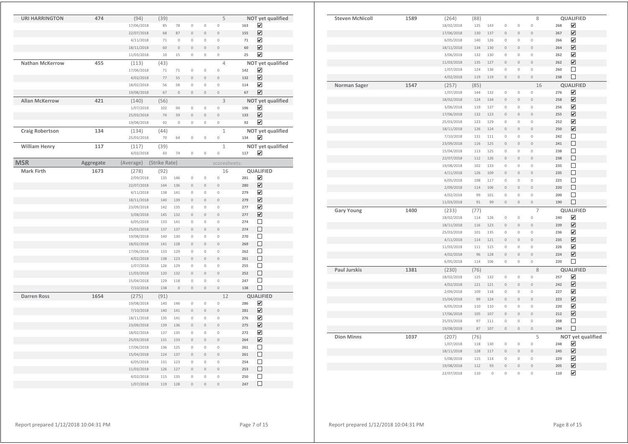| <b>Steven McNicoll</b> | 1589 | (264)              | (88)        |                |                     |                | 8              |     | QUALIFIED               |  |
|------------------------|------|--------------------|-------------|----------------|---------------------|----------------|----------------|-----|-------------------------|--|
|                        |      | 18/02/2018         | 125         | 143            | 0                   | 0              | $\mathbf 0$    | 268 | $\blacktriangledown$    |  |
|                        |      | 17/06/2018         | 130         | 137            | $\overline{0}$      | $\circ$        | $\overline{0}$ | 267 | ☑                       |  |
|                        |      | 6/05/2018          | 140         | 126            | $\mathbf 0$         | $\mathbb O$    | $\mathbf 0$    | 266 | $\overline{\mathbf{v}}$ |  |
|                        |      | 18/11/2018         | 134         | 130            | $\overline{0}$      | $\overline{0}$ | $\theta$       | 264 | $\overline{\mathbf{v}}$ |  |
|                        |      | 3/06/2018          | 132         | 130            | $\mathbf 0$         | $\mathbb O$    | $\mathbf 0$    | 262 | $\overline{\mathbf{v}}$ |  |
|                        |      | 11/03/2018         | 135         | 127            | $\overline{0}$      | $\overline{0}$ | $\theta$       | 262 | $\overline{\mathbf{v}}$ |  |
|                        |      | 1/07/2018          | 124         | 136            | $\mathbf 0$         | $\mathbb O$    | $\mathbf{0}$   | 260 | □                       |  |
|                        |      | 4/02/2018          | 119         | 119            | $\mathsf{O}\xspace$ | $\mathbb O$    | $\circ$        | 238 | $\Box$                  |  |
| Norman Sager           | 1547 |                    |             |                |                     |                | 16             |     | <b>QUALIFIED</b>        |  |
|                        |      | (257)<br>1/07/2018 | (85)<br>144 | 132            | 0                   | 0              | $\mathbf 0$    | 276 | ☑                       |  |
|                        |      | 18/02/2018         | 124         | 134            | $\overline{0}$      | $\mathbf 0$    | $\theta$       | 258 | $\overline{\mathbf{v}}$ |  |
|                        |      |                    |             |                |                     | $\circ$        |                | 256 | $\overline{\mathbf{v}}$ |  |
|                        |      | 3/06/2018          | 119         | 137            | 0                   |                | $\mathbf 0$    |     | ☑                       |  |
|                        |      | 17/06/2018         | 132         | 123            | $\overline{0}$      | $\overline{0}$ | $\theta$       | 255 |                         |  |
|                        |      | 25/03/2018         | 123         | 129            | $\mathbf 0$         | $\circ$        | $\mathbf 0$    | 252 | $\blacktriangledown$    |  |
|                        |      | 18/11/2018         | 126         | 124            | $\overline{0}$      | $\overline{0}$ | $\theta$       | 250 | $\overline{\mathbf{v}}$ |  |
|                        |      | 7/10/2018          | 131         | 111            | 0                   | $\hbox{O}$     | $\mathbb O$    | 242 | $\Box$                  |  |
|                        |      | 23/09/2018         | 116         | 125            | $\mathsf{O}\xspace$ | $\mathbb O$    | $\mathbf 0$    | 241 | $\Box$                  |  |
|                        |      | 15/04/2018         | 113         | 125            | 0                   | $\hbox{O}$     | $\mathbf 0$    | 238 | $\Box$                  |  |
|                        |      | 22/07/2018         | 112         | 126            | $\mathsf{O}\xspace$ | $\mathbb O$    | $\mathbb O$    | 238 | $\Box$                  |  |
|                        |      | 19/08/2018         | 102         | 133            | 0                   | 0              | $\mathbb O$    | 235 | $\Box$                  |  |
|                        |      | 4/11/2018          | 126         | 109            | $\mathsf{O}\xspace$ | $\mathbb O$    | $\mathbb O$    | 235 | $\Box$                  |  |
|                        |      | 6/05/2018          | 108         | 117            | 0                   | 0              | $\mathbf 0$    | 225 | $\Box$                  |  |
|                        |      | 2/09/2018          | 114         | 106            | $\mathbf 0$         | $\mathbb O$    | $\mathbb O$    | 220 | $\Box$                  |  |
|                        |      | 4/02/2018          | 99          | 101            | 0                   | 0              | $\mathbf 0$    | 200 | $\Box$                  |  |
|                        |      | 11/03/2018         | 91          | 99             | $\mathsf{O}\xspace$ | $\mathbb O$    | $\mathbf 0$    | 190 | $\Box$                  |  |
| <b>Gary Young</b>      | 1400 | (233)              | (77)        |                |                     |                | $\overline{7}$ |     | <b>QUALIFIED</b>        |  |
|                        |      | 18/02/2018         | 114         | 126            | $\mathbb O$         | 0              | $\mathbb O$    | 240 | ☑                       |  |
|                        |      | 18/11/2018         | 116         | 123            | $\mathbf 0$         | $\,0\,$        | $\mathbb O$    | 239 | ☑                       |  |
|                        |      | 25/03/2018         | 101         | 135            | $\mathbb O$         | $\mathbb O$    | $\mathbb O$    | 236 | ☑                       |  |
|                        |      | 4/11/2018          | 114         | 121            | $\mathbf 0$         | $\mathbf 0$    | $\mathbf 0$    | 235 | ☑                       |  |
|                        |      | 11/03/2018         | 111         | 115            | $\mathbb O$         | $\mathbb O$    | $\mathbb O$    | 226 | ☑                       |  |
|                        |      | 4/02/2018          | 96          | 128            | $\mathbf 0$         | $\mathbf 0$    | $\mathbf 0$    | 224 | ☑                       |  |
|                        |      | 6/05/2018          | 114         | 106            | $\mathbb O$         | 0              | $\mathbb O$    | 220 | $\Box$                  |  |
| <b>Paul Jurskis</b>    | 1381 | (230)              | (76)        |                |                     |                | 8              |     | <b>QUALIFIED</b>        |  |
|                        |      | 18/02/2018         | 125         | 132            | 0                   | 0              | $\mathbb O$    | 257 | $\overline{\mathbf{v}}$ |  |
|                        |      | 4/02/2018          | 121         | 121            | $\mathbf 0$         | $\mathbb O$    | $\mathbf 0$    | 242 | $\overline{\mathbf{v}}$ |  |
|                        |      | 2/09/2018          | 109         | 118            | 0                   | 0              | $\mathbf 0$    | 227 | ☑                       |  |
|                        |      | 15/04/2018         | 99          | 124            | $\overline{0}$      | $\mathbf 0$    | $\mathbf{0}$   | 223 | $\overline{\mathbf{v}}$ |  |
|                        |      | 6/05/2018          | 110         | 110            | 0                   | $\circ$        | $\mathbf 0$    | 220 | $\overline{\mathbf{v}}$ |  |
|                        |      | 17/06/2018         | 105         | 107            | $\mathsf{O}\xspace$ | $\mathbb O$    | $\mathbf 0$    | 212 | $\overline{\mathbf{v}}$ |  |
|                        |      | 25/03/2018         | 97          | 111            | $\mathbf 0$         | $\circ$        | $\mathbf 0$    | 208 | $\Box$                  |  |
|                        |      | 19/08/2018         | 87          | 107            | $\mathsf{O}\xspace$ | $\mathbb O$    | $\mathbf 0$    | 194 | $\Box$                  |  |
| <b>Dion Minns</b>      | 1037 | (207)              | (76)        |                |                     |                | 5              |     | NOT yet qualified       |  |
|                        |      | 1/07/2018          | 118         | 130            | $\mathbb O$         | $\mathbb O$    | $\mathbb O$    | 248 | ☑                       |  |
|                        |      | 18/11/2018         | 128         | 117            | $\mathbf 0$         | $\mathbb O$    | $\mathbb O$    | 245 | $\overline{\mathbf{v}}$ |  |
|                        |      | 5/08/2018          | 115         | 114            | $\mathbf 0$         | 0              | $\mathbb O$    | 229 | ☑                       |  |
|                        |      | 19/08/2018         | 112         | 93             | $\overline{0}$      | $\circ$        | $\mathbf 0$    | 205 | ☑                       |  |
|                        |      | 22/07/2018         | 110         | $\overline{0}$ | $\overline{0}$      | $\overline{0}$ | $\overline{0}$ | 110 | $\overline{\mathbf{v}}$ |  |
|                        |      |                    |             |                |                     |                |                |     |                         |  |

| <b>URI HARRINGTON</b>  | 474       | (94)       | (39)          |              |                     |                | 5              |     | NOT yet qualified            |
|------------------------|-----------|------------|---------------|--------------|---------------------|----------------|----------------|-----|------------------------------|
|                        |           | 17/06/2018 | 85            | 78           | $\mathbf 0$         | $\mathbf 0$    | $\mathbf 0$    | 163 | ☑                            |
|                        |           | 22/07/2018 | 68            | 87           | $\mathbf 0$         | $\mathbf 0$    | $\mathbf 0$    | 155 | $\overline{\mathbf{v}}$      |
|                        |           | 4/11/2018  | 71            | $\mathbb O$  | 0                   | $\mathbf 0$    | $\mathbf 0$    | 71  | ☑                            |
|                        |           | 18/11/2018 | 60            | $\,0\,$      | $\circ$             | $\mathbf 0$    | $\circ$        | 60  | ☑                            |
|                        |           | 11/03/2018 | 10            | 15           | $\mathbf 0$         | $\mathbf 0$    | $\mathbf 0$    | 25  | $\overline{\mathbf{v}}$      |
| <b>Nathan McKerrow</b> | 455       | (113)      | (43)          |              |                     |                | $\overline{4}$ |     | NOT yet qualified            |
|                        |           | 17/06/2018 | 71            | 71           | $\mathbf 0$         | $\mathbf 0$    | $\mathbf 0$    | 142 | ☑                            |
|                        |           | 4/02/2018  | 77            | 55           | $\circ$             | $\circ$        | $\circ$        | 132 | ☑                            |
|                        |           | 18/02/2018 | 56            | 58           | 0                   | $\mathbb O$    | 0              | 114 | ☑                            |
|                        |           | 19/08/2018 | 67            | $\mathbf 0$  | $\mathsf{O}\xspace$ | $\mathbf 0$    | $\overline{0}$ | 67  | ☑                            |
| <b>Allan McKerrow</b>  | 421       | (140)      | (56)          |              |                     |                | 3              |     | NOT yet qualified            |
|                        |           | 1/07/2018  | 102           | 94           | 0                   | $\mathbb O$    | $\mathbf 0$    | 196 | ☑                            |
|                        |           | 25/03/2018 | 74            | 59           | $\mathbf 0$         | $\circ$        | $\overline{0}$ | 133 | $\boxed{\blacktriangledown}$ |
|                        |           | 19/08/2018 | 92            | $\mathbf{0}$ | $\mathbf 0$         | $\mathbf{0}$   | $\mathbf 0$    | 92  | $\overline{\mathbf{v}}$      |
| <b>Craig Robertson</b> | 134       | (134)      | (44)          |              |                     |                | $\mathbf{1}$   |     | NOT yet qualified            |
|                        |           | 25/03/2018 | 70            | 64           | $\mathbb O$         | $\mathbb O$    | $\mathbb O$    | 134 | ☑                            |
| <b>William Henry</b>   | 117       | (117)      | (39)          |              |                     |                | $\mathbf{1}$   |     | NOT yet qualified            |
|                        |           | 4/02/2018  | 43            | 74           | 0                   | $\mathbf 0$    | $\mathbf 0$    | 117 | ☑                            |
|                        |           |            |               |              |                     |                |                |     |                              |
| <b>MSR</b>             | Aggregate | (Average)  | (Strike Rate) |              |                     |                | scoresheets:   |     |                              |
| <b>Mark Firth</b>      | 1673      | (278)      | (92)          |              |                     |                | 16             |     | <b>QUALIFIED</b>             |
|                        |           | 2/09/2018  | 135           | 146          | $\mathbb O$         | $\mathbb O$    | $\mathbf 0$    | 281 | ☑                            |
|                        |           | 22/07/2018 | 144           | 136          | $\circ$             | $\circ$        | $\overline{0}$ | 280 | ☑                            |
|                        |           | 4/11/2018  | 138           | 141          | $\mathbb O$         | $\circ$        | 0              | 279 | $\overline{\mathbf{v}}$      |
|                        |           | 18/11/2018 | 140           | 139          | $\overline{0}$      | $\mathbf{0}$   | $\overline{0}$ | 279 | $\overline{\mathbf{v}}$      |
|                        |           | 23/09/2018 | 142           | 135          | $\mathbb O$         | $\mathbf{0}$   | $\mathbf 0$    | 277 | ☑                            |
|                        |           | 5/08/2018  | 145           | 132          | $\mathbf 0$         | $\mathbf 0$    | $\mathbf 0$    | 277 | ☑                            |
|                        |           | 6/05/2018  | 133           | 141          | $\mathbf 0$         | $\mathbf 0$    | $\mathbf 0$    | 274 | □                            |
|                        |           | 25/03/2018 | 137           | 137          | $\overline{0}$      | $\mathbf{0}$   | $\overline{0}$ | 274 | П                            |
|                        |           | 19/08/2018 | 140           | 130          | $\mathbb O$         | $\mathbb O$    | $\mathbb O$    | 270 | □                            |
|                        |           | 18/02/2018 | 141           | 128          | $\mathbb O$         | $\mathbb O$    | $\mathbb O$    | 269 | □                            |
|                        |           | 17/06/2018 | 133           | 129          | $\mathbb O$         | $\mathbb O$    | $\mathbb O$    | 262 | □                            |
|                        |           | 4/02/2018  | 138           | 123          | $\mathbf 0$         | $\overline{0}$ | $\circ$        | 261 | Π                            |
|                        |           | 1/07/2018  | 126           | 129          | $\mathbb O$         | $\mathbf 0$    | $\mathbb O$    | 255 | $\Box$                       |
|                        |           | 11/03/2018 | 120           | 132          | $\overline{0}$      | $\mathbf 0$    | $\mathbf 0$    | 252 | □                            |
|                        |           | 15/04/2018 | 129           | 118          | $\mathbf 0$         | $\mathbb O$    | $\mathbb O$    | 247 | □                            |
|                        |           | 7/10/2018  | 138           | $\mathbf 0$  | $\mathbf 0$         | $\mathbf 0$    | $\circ$        | 138 | $\Box$                       |
| <b>Darren Ross</b>     | 1654      | (275)      | (91)          |              |                     |                | 12             |     | <b>QUALIFIED</b>             |
|                        |           | 19/08/2018 | 140           | 146          | $\mathbb O$         | $\mathbb O$    | $\mathbb O$    | 286 | ☑                            |
|                        |           | 7/10/2018  | 140           | 141          | $\circ$             | $\mathbf 0$    | $\overline{0}$ | 281 | $\overline{\mathbf{v}}$      |
|                        |           | 18/11/2018 | 135           | 141          | 0                   | $\mathbf 0$    | 0              | 276 | ☑                            |
|                        |           | 23/09/2018 | 139           | 136          | $\mathsf{O}\xspace$ | $\mathbf 0$    | $\mathbf 0$    | 275 | ☑                            |
|                        |           | 18/02/2018 | 137           | 135          | $\mathbb O$         | $\mathbb O$    | 0              | 272 | ☑                            |
|                        |           | 25/03/2018 | 131           | 133          | $\mathbf 0$         | $\mathbf 0$    | $\circ$        | 264 | ☑                            |
|                        |           | 17/06/2018 | 136           | 125          | $\mathbb O$         | $\mathbb O$    | $\mathbb O$    | 261 | □                            |
|                        |           | 15/04/2018 | 124           | 137          | $\mathbb O$         | $\mathbf 0$    | $\circ$        | 261 | □                            |
|                        |           | 6/05/2018  | 131           | 123          | $\overline{0}$      | $\mathbf 0$    | $\overline{0}$ | 254 | □                            |
|                        |           | 11/03/2018 | 126           | 127          | $\overline{0}$      | $\theta$       | $\overline{0}$ | 253 | П                            |
|                        |           | 4/02/2018  | 115           | 135          | 0                   | $\mathbf 0$    | $\mathbb O$    | 250 | □                            |
|                        |           | 1/07/2018  | 119           | 128          | $\mathbf 0$         | $\circ$        | $\circ$        | 247 | □                            |
|                        |           |            |               |              |                     |                |                |     |                              |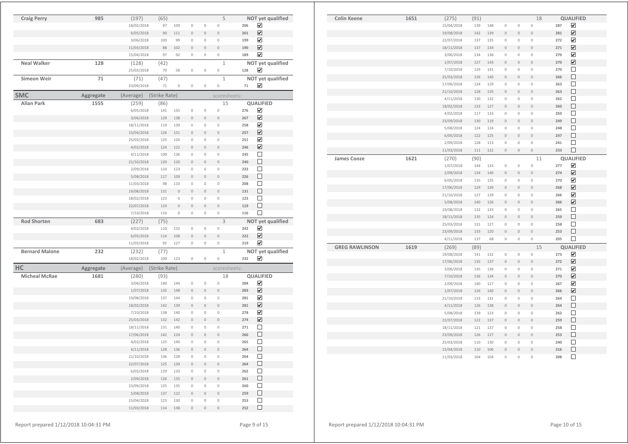| <b>Colin Keene</b>    | 1651 | (275)      | (91) |     |                     |                | 18                  |     | QUALIFIED               |  |
|-----------------------|------|------------|------|-----|---------------------|----------------|---------------------|-----|-------------------------|--|
|                       |      | 15/04/2018 | 139  | 148 | 0                   | $\mathbb O$    | $\overline{0}$      | 287 | ☑                       |  |
|                       |      | 19/08/2018 | 142  | 139 | $\mathsf{O}\xspace$ | $\mathbf 0$    | $\overline{0}$      | 281 | $\overline{\mathbf{v}}$ |  |
|                       |      | 22/07/2018 | 137  | 135 | $\mathbb O$         | $\mathbf 0$    | 0                   | 272 | $\overline{\mathbf{v}}$ |  |
|                       |      | 18/11/2018 | 137  | 134 | $\mathbb O$         | $\,0\,$        | $\mathsf{O}\xspace$ | 271 | ☑                       |  |
|                       |      | 3/06/2018  | 134  | 136 | $\mathbf 0$         | $\mathbb O$    | 0                   | 270 | $\overline{\mathbf{v}}$ |  |
|                       |      | 1/07/2018  | 127  | 143 | $\mathbb O$         | $\mathbf 0$    | $\overline{0}$      | 270 | $\blacktriangledown$    |  |
|                       |      | 7/10/2018  | 129  | 141 | $\mathbb O$         | $\mathbb O$    | $\hbox{O}$          | 270 | □                       |  |
|                       |      | 25/03/2018 | 126  | 140 | $\circ$             | $\mathbf 0$    | $\mathsf{O}\xspace$ | 266 | $\Box$                  |  |
|                       |      | 17/06/2018 | 134  | 129 | $\mathbf{0}$        | $\mathbf 0$    | 0                   | 263 | $\Box$                  |  |
|                       |      | 21/10/2018 | 128  | 135 | $\overline{0}$      | $\mathbf 0$    | $\mathsf{O}\xspace$ | 263 | □                       |  |
|                       |      | 4/11/2018  | 130  | 132 | 0                   | $\mathbf 0$    | 0                   | 262 | □                       |  |
|                       |      | 18/02/2018 | 133  | 127 | $\mathsf{O}\xspace$ | $\mathbf 0$    | $\overline{0}$      | 260 | □                       |  |
|                       |      | 4/02/2018  | 117  | 133 | $\mathbb O$         | $\mathbb O$    | $\circ$             | 250 | $\Box$                  |  |
|                       |      | 23/09/2018 | 130  | 119 | $\mathsf{O}\xspace$ | $\mathbf 0$    | $\overline{0}$      | 249 | $\Box$                  |  |
|                       |      | 5/08/2018  | 124  | 124 | $\overline{0}$      | $\overline{0}$ | 0                   | 248 | $\Box$                  |  |
|                       |      | 6/05/2018  | 122  | 125 | $\mathbb O$         | $\mathbf 0$    | $\overline{0}$      | 247 | $\Box$                  |  |
|                       |      | 2/09/2018  | 128  | 113 | 0                   | $\mathbf 0$    | $\overline{0}$      | 241 | □                       |  |
|                       |      | 11/03/2018 | 111  | 122 | $\mathsf{O}\xspace$ | $\mathbb O$    | $\circ$             | 233 | $\Box$                  |  |
| <b>James Cooze</b>    | 1621 | (270)      | (90) |     |                     |                | 11                  |     | QUALIFIED               |  |
|                       |      | 1/07/2018  | 144  | 133 | $\mathbf 0$         | $\mathbf 0$    | $\overline{0}$      | 277 | $\blacktriangledown$    |  |
|                       |      | 2/09/2018  | 134  | 140 | $\mathbb O$         | $\mathbf 0$    | $\overline{0}$      | 274 | ☑                       |  |
|                       |      | 6/05/2018  | 135  | 135 | $\mathbf 0$         | $\mathbf 0$    | 0                   | 270 | $\overline{\mathbf{v}}$ |  |
|                       |      | 17/06/2018 | 129  | 139 | $\overline{0}$      | $\overline{0}$ | $\overline{0}$      | 268 | $\overline{\mathbf{v}}$ |  |
|                       |      | 21/10/2018 | 127  | 139 | $\mathbb O$         | $\mathbb O$    | 0                   | 266 | $\overline{\mathbf{v}}$ |  |
|                       |      | 5/08/2018  | 140  | 126 | $\mathbf 0$         | $\mathbf 0$    | $\circ$             | 266 | ☑                       |  |
|                       |      | 19/08/2018 | 132  | 133 | $\mathbf 0$         | $\mathbf 0$    | 0                   | 265 | □                       |  |
|                       |      | 18/11/2018 | 135  | 124 | $\mathbf{0}$        | $\mathbf 0$    | $\circ$             | 259 | □                       |  |
|                       |      | 25/03/2018 | 131  | 127 | 0                   | $\mathbf 0$    | 0                   | 258 | $\Box$                  |  |
|                       |      | 23/09/2018 | 133  | 120 | $\circ$             | $\overline{0}$ | $\overline{0}$      | 253 | $\Box$                  |  |
|                       |      | 4/11/2018  | 137  | 68  | $\mathbb O$         | $\mathbb O$    | $\circ$             | 205 | □                       |  |
| <b>GREG RAWLINSON</b> | 1619 | (269)      | (89) |     |                     |                | 15                  |     | <b>QUALIFIED</b>        |  |
|                       |      | 19/08/2018 | 141  | 132 | 0                   | $\mathbb O$    | $\overline{0}$      | 273 | ☑                       |  |
|                       |      | 17/06/2018 | 135  | 137 | $\mathbb O$         | $\mathbf 0$    | $\overline{0}$      | 272 | $\overline{\mathbf{v}}$ |  |
|                       |      | 3/06/2018  | 135  | 136 | $\mathbb O$         | $\mathbb O$    | $\overline{0}$      | 271 | ☑                       |  |
|                       |      | 7/10/2018  | 136  | 134 | $\mathbf 0$         | $\mathbf 0$    | $\circ$             | 270 | ☑                       |  |
|                       |      | 2/09/2018  | 140  | 127 | 0                   | $\mathbb O$    | 0                   | 267 | ☑                       |  |
|                       |      | 1/07/2018  | 126  | 140 | $\overline{0}$      | $\overline{0}$ | $\overline{0}$      | 266 | $\overline{\mathbf{v}}$ |  |
|                       |      | 21/10/2018 | 133  | 131 | $\mathbb O$         | $\mathbf 0$    | 0                   | 264 | $\Box$                  |  |
|                       |      | 4/11/2018  | 126  | 138 | $\mathbf 0$         | $\bf{0}$       | $\mathbf 0$         | 264 | □                       |  |
|                       |      | 5/08/2018  | 139  | 123 | $\mathbf 0$         | $\mathbf 0$    | 0                   | 262 | □                       |  |
|                       |      | 22/07/2018 | 122  | 137 | $\mathbf 0$         | $\mathbf 0$    | $\circ$             | 259 | □                       |  |
|                       |      | 18/11/2018 | 121  | 137 | $\mathbb O$         | $\mathbf 0$    | 0                   | 258 | $\Box$                  |  |
|                       |      | 23/09/2018 | 126  | 127 | $\mathbf 0$         | $\circ$        | $\overline{0}$      | 253 | □                       |  |
|                       |      | 25/03/2018 | 110  | 130 | $\mathbf 0$         | $\circ$        | 0                   | 240 | □                       |  |
|                       |      | 15/04/2018 | 110  | 106 | $\mathsf{O}\xspace$ | $\mathbf 0$    | $\mathbf 0$         | 216 | $\Box$                  |  |
|                       |      | 11/03/2018 | 104  | 104 | $\overline{0}$      | $\overline{0}$ | $\overline{0}$      | 208 | $\Box$                  |  |

| <b>Craig Perry</b>    | 985       | (197)                   | (65)          |             |                     |                     | 5                   |     | NOT yet qualified       |
|-----------------------|-----------|-------------------------|---------------|-------------|---------------------|---------------------|---------------------|-----|-------------------------|
|                       |           | 18/02/2018              | 97            | 109         | $\mathbb O$         | $\mathbb O$         | $\mathbb O$         | 206 | ☑                       |
|                       |           | 6/05/2018               | 90            | 111         | $\mathbf 0$         | $\mathsf{O}\xspace$ | $\mathbf 0$         | 201 | ☑                       |
|                       |           | 3/06/2018               | 100           | 99          | $\mathbb O$         | $\mathbb O$         | $\mathbb O$         | 199 | ☑                       |
|                       |           | 11/03/2018              | 88            | 102         | $\mathbf 0$         | $\mathbf 0$         | $\mathbb O$         | 190 | ☑                       |
|                       |           | 15/04/2018              | 97            | 92          | $\mathbb O$         | $\mathbb O$         | 0                   | 189 | ☑                       |
| <b>Neal Walker</b>    | 128       | (128)                   | (42)          |             |                     |                     | $\mathbf{1}$        |     | NOT yet qualified       |
|                       |           | 25/03/2018              | 70            | 58          | $\mathbb O$         | $\,0\,$             | $\mathbb O$         | 128 | ☑                       |
| Simeon Weir           | 71        | (71)                    | (47)          |             |                     |                     | $\mathbf{1}$        |     | NOT yet qualified       |
|                       |           | 23/09/2018              | 71            | $\mathbb O$ | $\mathbb O$         | $\,0\,$             | $\mathbf 0$         | 71  | ☑                       |
| <b>SMC</b>            | Aggregate | (Average)               | (Strike Rate) |             |                     |                     | scoresheets:        |     |                         |
| <b>Allan Park</b>     | 1555      | (259)                   | (86)          |             |                     |                     | 15                  |     | QUALIFIED               |
|                       |           | 6/05/2018               | 141           | 135         | $\mathbb O$         | $\mathbb O$         | $\mathbb O$         | 276 | ☑                       |
|                       |           | 3/06/2018               | 129           | 138         | $\mathbb O$         | $\mathsf{O}\xspace$ | $\mathbb O$         | 267 | $\overline{\mathbf{v}}$ |
|                       |           | 18/11/2018              | 119           | 139         | 0                   | $\mathbb O$         | $\mathbb O$         | 258 | ☑                       |
|                       |           | 15/04/2018              | 126           | 131         | $\mathbb O$         | $\mathbf 0$         | $\mathbf 0$         | 257 | ☑                       |
|                       |           | 25/03/2018              | 125           | 126         | $\mathbb O$         | $\mathbb O$         | $\mathbf 0$         | 251 | ☑                       |
|                       |           | 4/02/2018               | 124           | 122         | $\mathbf 0$         | $\mathbf 0$         | $\mathbf 0$         | 246 | ☑                       |
|                       |           | 4/11/2018               | 109           | 136         | $\mathbb O$         | $\mathbb O$         | $\mathbb O$         | 245 | □                       |
|                       |           | 21/10/2018              | 120           | 120         | $\mathbb O$         | $\mathbf 0$         | $\mathbf 0$         | 240 | □                       |
|                       |           | 2/09/2018               | 110           | 123         | 0                   | 0                   | $\mathbb O$         | 233 | □                       |
|                       |           | 5/08/2018               | 117           | 109         | $\mathbf 0$         | $\mathbf 0$         | $\mathbf 0$         | 226 | □                       |
|                       |           | 11/03/2018              | 98            | 110         | 0                   | 0                   | $\mathbb O$         | 208 | □                       |
|                       |           | 19/08/2018              | 131           | $\mathbf 0$ | $\mathbf 0$         | $\mathbf 0$         | $\mathbf 0$         | 131 | □                       |
|                       |           | 18/02/2018              | 123           | $\mathbb O$ | 0                   | 0                   | $\mathbb O$         | 123 | □                       |
|                       |           | 22/07/2018              | 119           | $\mathbf 0$ | $\mathbf 0$         | $\mathbf 0$         | $\circ$             | 119 | □                       |
|                       |           | 7/10/2018               | 116           | $\mathbb O$ | $\mathbb O$         | $\mathbb O$         | $\,0\,$             | 116 | П                       |
|                       |           |                         |               |             |                     |                     |                     |     |                         |
| <b>Rod Shorten</b>    | 683       | (227)                   | (75)          |             |                     |                     | 3                   |     |                         |
|                       |           | 4/02/2018               | 110           | 132         | $\mathbb O$         | $\mathbb O$         | $\mathbb O$         | 242 | NOT yet qualified<br>☑  |
|                       |           | 6/05/2018               | 114           | 108         | $\mathbf 0$         | $\mathbf 0$         | $\mathbf 0$         | 222 | ☑                       |
|                       |           | 11/03/2018              | 92            | 127         | 0                   | $\mathbb O$         | 0                   | 219 | $\overline{\mathbf{v}}$ |
| <b>Bernard Malone</b> | 232       | (232)                   |               |             |                     |                     | $\mathbf{1}$        |     |                         |
|                       |           | 18/02/2018              | (77)<br>109   | 123         | 0                   | $\mathbb O$         | 0                   | 232 | NOT yet qualified<br>⊽  |
|                       |           |                         |               |             |                     |                     |                     |     |                         |
| HC                    | Aggregate | (Average)               | (Strike Rate) |             |                     |                     | scoresheets:        |     |                         |
| <b>Micheal McRae</b>  | 1681      | (280)                   | (93)<br>140   | 144         | 0                   | $\mathbb O$         | 18<br>$\circ$       | 284 | QUALIFIED<br>☑          |
|                       |           | 3/06/2018               | 135           | 148         | $\mathbf 0$         | $\mathbf 0$         | $\theta$            | 283 | ☑                       |
|                       |           | 1/07/2018<br>19/08/2018 | 137           | 144         | $\mathbb O$         | $\mathbb O$         | $\mathbb O$         | 281 | $\overline{\mathbf{v}}$ |
|                       |           | 18/02/2018              | 142           | 139         | $\mathbb O$         | $\mathsf{O}\xspace$ | $\mathbf 0$         | 281 | ☑                       |
|                       |           | 7/10/2018               | 138           | 140         | 0                   | $\mathbb O$         | $\mathbb O$         | 278 | ☑                       |
|                       |           | 25/03/2018              | 132           | 142         | $\mathbf 0$         | $\mathbb O$         | $\mathbf 0$         | 274 | ☑                       |
|                       |           | 18/11/2018              | 131           | 140         | 0                   | $\mathbb O$         | $\mathbb O$         | 271 | □                       |
|                       |           | 17/06/2018              | 142           | 124         | 0                   | $\mathbb O$         | $\mathbb O$         | 266 | □                       |
|                       |           | 4/02/2018               | 125           | 140         | $\mathbb O$         | $\mathbb O$         | $\mathbf 0$         | 265 | □                       |
|                       |           | 4/11/2018               | 128           | 136         | $\mathbb O$         | $\,0\,$             | $\mathbb O$         | 264 | □                       |
|                       |           | 21/10/2018              | 136           | 128         | $\,0\,$             | $\mathbb O$         | $\,0\,$             | 264 | □                       |
|                       |           | 22/07/2018              | 125           | 139         | $\,0\,$             | $\mathbb O$         | $\mathsf{O}\xspace$ | 264 | $\Box$                  |
|                       |           | 6/05/2018               | 129           | 133         | $\,0\,$             | $\,0\,$             | $\mathbb O$         | 262 | $\Box$                  |
|                       |           | 2/09/2018               | 126           | 135         | $\mathsf{O}\xspace$ | $\mathbb O$         | $\mathsf{O}\xspace$ | 261 | □                       |
|                       |           | 23/09/2018              | 125           | 135         | $\mathbb O$         | $\mathbb O$         | $\,0\,$             | 260 | □                       |
|                       |           | 5/08/2018               | 137           | 122         | $\mathsf{O}\xspace$ | $\mathbb O$         | $\mathbb O$         | 259 | $\Box$                  |
|                       |           | 15/04/2018              | 123           | 130         | $\,0\,$             | $\mathbb O$         | $\mathbb O$         | 253 | □                       |
|                       |           | 11/03/2018              | 114           | 138         | $\mathbb O$         | $\,0\,$             | $\,0\,$             | 252 | □                       |

Report prepared  $1/12/2018$  10:04:31 PM Page 9 of 15

Report prepared  $1/12/2018$  10:04:31 PM Page 10 of 15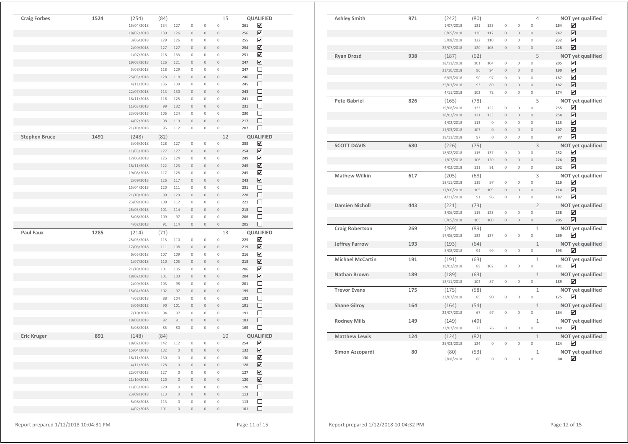| <b>Ashley Smith</b>     | 971 | (242)      | (80) |             |                     |                     | 4                   | NOT yet qualified                |
|-------------------------|-----|------------|------|-------------|---------------------|---------------------|---------------------|----------------------------------|
|                         |     | 1/07/2018  | 131  | 133         | 0                   | $\mathbf 0$         | $\mathbf 0$         | ☑<br>264                         |
|                         |     | 6/05/2018  | 130  | 117         | $\mathsf{O}\xspace$ | $\mathbf{0}$        | $\bf{0}$            | $\overline{\mathbf{v}}$<br>247   |
|                         |     | 5/08/2018  | 122  | 110         | $\circ$             | $\mathbf 0$         | $\mathbf 0$         | ☑<br>232                         |
|                         |     | 22/07/2018 | 120  | 108         | $\mathsf{O}\xspace$ | $\mathbb O$         | $\bf{0}$            | $\overline{\mathbf{v}}$<br>228   |
| <b>Ryan Drosd</b>       | 938 | (187)      | (62) |             |                     |                     | 5                   | NOT yet qualified                |
|                         |     | 18/11/2018 | 101  | 104         | $\mathbf 0$         | $\mathbf 0$         | $\overline{0}$      | $\blacktriangledown$<br>205      |
|                         |     | 21/10/2018 | 96   | 94          | $\overline{0}$      | $\overline{0}$      | $\overline{0}$      | $\overline{\mathbf{v}}$<br>190   |
|                         |     | 6/05/2018  | 90   | 97          | $\mathbf 0$         | $\circ$             | $\mathbf 0$         | ☑<br>187                         |
|                         |     | 25/03/2018 | 93   | 89          | $\overline{0}$      | $\mathbb O$         | $\overline{0}$      | ☑<br>182                         |
|                         |     | 4/11/2018  | 102  | 72          | $\mathbf 0$         | $\mathbf{0}$        | 0                   | $\overline{\mathbf{v}}$<br>174   |
| <b>Pete Gabriel</b>     | 826 | (165)      | (78) |             |                     |                     | 5                   | NOT yet qualified                |
|                         |     | 19/08/2018 | 133  | 122         | $\mathbf 0$         | $\mathbf 0$         | $\overline{0}$      | ☑<br>255                         |
|                         |     | 18/02/2018 | 121  | 133         | $\mathbf 0$         | $\bf{0}$            | $\bf{0}$            | ☑<br>254                         |
|                         |     | 4/02/2018  | 113  | $\mathbb O$ | 0                   | $\mathsf{O}\xspace$ | $\mathsf{O}\xspace$ | ☑<br>113                         |
|                         |     | 11/03/2018 | 107  | $\mathbf 0$ | $\overline{0}$      | $\overline{0}$      | $\overline{0}$      | $\overline{\mathbf{v}}$<br>107   |
|                         |     | 18/11/2018 | 97   | $\mathbb O$ | $\circ$             | $\mathbb O$         | $\mathbb O$         | $\overline{\mathbf{v}}$<br>97    |
| <b>SCOTT DAVIS</b>      | 680 | (226)      | (75) |             |                     |                     | $\overline{3}$      | NOT yet qualified                |
|                         |     | 18/02/2018 | 115  | 137         | 0                   | $\mathbf 0$         | $\mathbf 0$         | ☑<br>252                         |
|                         |     | 1/07/2018  | 106  | 120         | $\circ$             | $\mathbf 0$         | $\mathbf 0$         | $\overline{\mathbf{v}}$<br>226   |
|                         |     | 4/02/2018  | 111  | 91          | $\hbox{O}$          | $\mathbb O$         | $\mathbf 0$         | ☑<br>202                         |
|                         |     |            |      |             |                     |                     |                     |                                  |
| <b>Mathew Wilkin</b>    | 617 | (205)      | (68) |             |                     |                     | 3                   | NOT yet qualified                |
|                         |     | 18/11/2018 | 119  | 97          | $\mathbf 0$         | $\mathbb O$         | $\mathbf 0$         | ☑<br>216<br>$\blacktriangledown$ |
|                         |     | 17/06/2018 | 105  | 109         | $\overline{0}$      | $\mathbf{0}$        | $\overline{0}$      | 214<br>$\overline{\mathbf{v}}$   |
|                         |     | 4/11/2018  | 91   | 96          | $\mathbf 0$         | $\circ$             | 0                   | 187                              |
| <b>Damien Nicholl</b>   | 443 | (221)      | (73) |             |                     |                     | $\overline{2}$      | NOT yet qualified                |
|                         |     | 3/06/2018  | 115  | 123         | 0                   | $\,0\,$             | $\mathbf 0$         | ☑<br>238                         |
|                         |     | 6/05/2018  | 105  | 100         | $\mathbf 0$         | $\mathbb O$         | $\bf{0}$            | ☑<br>205                         |
| <b>Craig Robertson</b>  | 269 | (269)      | (89) |             |                     |                     | $\mathbf{1}$        | NOT yet qualified                |
|                         |     | 17/06/2018 | 132  | 137         | 0                   | $\mathbb O$         | $\mathbf 0$         | ☑<br>269                         |
| <b>Jeffrey Farrow</b>   | 193 | (193)      | (64) |             |                     |                     | $\mathbf{1}$        | NOT yet qualified                |
|                         |     | 5/08/2018  | 94   | 99          | $\hbox{O}$          | $\mathbb O$         | 0                   | $\blacktriangledown$<br>193      |
| <b>Michael McCartin</b> | 191 | (191)      | (63) |             |                     |                     | $\mathbf{1}$        | NOT yet qualified                |
|                         |     | 18/02/2018 | 89   | 102         | 0                   | $\mathbb O$         | $\mathbf 0$         | ☑<br>191                         |
| Nathan Brown            | 189 | (189)      | (63) |             |                     |                     | $\mathbf{1}$        | NOT yet qualified                |
|                         |     | 18/11/2018 | 102  | 87          | $\mathbb O$         | $\mathbb O$         | $\mathbf 0$         | 189<br>$\blacktriangledown$      |
| <b>Trevor Evans</b>     | 175 | (175)      | (58) |             |                     |                     | $\mathbf{1}$        | NOT yet qualified                |
|                         |     | 22/07/2018 | 85   | 90          | 0                   | 0                   | $\mathsf{O}\xspace$ | ☑<br>175                         |
| <b>Shane Gilroy</b>     | 164 | (164)      | (54) |             |                     |                     | $\mathbf{1}$        | NOT yet qualified                |
|                         |     | 22/07/2018 | 67   | 97          | $\circ$             | $\mathbb O$         | $\circ$             | ✔<br>164                         |
| <b>Rodney Mills</b>     | 149 | (149)      | (49) |             |                     |                     | $\mathbf{1}$        | NOT yet qualified                |
|                         |     | 22/07/2018 | 73   | 76          | $\circ$             | $\mathbb O$         | $\mathbf 0$         | $\blacktriangledown$<br>149      |
|                         |     |            |      |             |                     |                     |                     |                                  |
| <b>Matthew Lewis</b>    | 124 | (124)      | (82) |             |                     |                     | $\mathbf{1}$        | NOT yet qualified                |
|                         |     | 25/03/2018 | 124  | $\mathbb O$ | $\mathbb O$         | $\mathbb O$         | 0                   | ⊻<br>124                         |
| Simon Azzopardi         | 80  | (80)       | (53) |             |                     |                     | $\mathbf{1}$        | NOT yet qualified                |
|                         |     | 5/08/2018  | 80   | 0           | 0                   | $\mathbf 0$         | $\overline{0}$      | ☑<br>80                          |

| <b>Craig Forbes</b>  | 1524 | (254)                    | (84)           |             |                            |                            | 15          |     | QUALIFIED                    |
|----------------------|------|--------------------------|----------------|-------------|----------------------------|----------------------------|-------------|-----|------------------------------|
|                      |      | 15/04/2018               | 134            | 127         | $\mathbf 0$                | $\mathbb O$                | $\mathbb O$ | 261 | ☑                            |
|                      |      | 18/02/2018               | 130            | 126         | $\mathbf 0$                | $\mathbf 0$                | $\mathbf 0$ | 256 | ☑                            |
|                      |      | 3/06/2018                | 129            | 126         | $\mathbb O$                | $\mathbb O$                | $\mathbb O$ | 255 | ☑                            |
|                      |      | 2/09/2018                | 127            | 127         | $\mathbf 0$                | $\mathbf 0$                | $\mathbf 0$ | 254 | ☑                            |
|                      |      | 1/07/2018                | 118            | 133         | $\mathbb O$                | $\mathbb O$                | $\mathbb O$ | 251 | ☑                            |
|                      |      | 19/08/2018               | 126            | 121         | $\mathbb O$                | $\,0\,$                    | $\mathbb O$ | 247 | ☑                            |
|                      |      | 5/08/2018                | 118            | 129         | $\mathbb O$                | $\mathbb O$                | $\mathbb O$ | 247 | □                            |
|                      |      | 25/03/2018               | 128            | 118         | $\mathbf 0$                | $\mathbf 0$                | $\mathbf 0$ | 246 | □                            |
|                      |      | 4/11/2018                | 136            | 109         | $\mathbb O$                | $\mathbb O$                | $\mathbb O$ | 245 | □                            |
|                      |      | 22/07/2018               | 113            | 130         | $\mathbb O$                | $\mathbb O$                | $\mathbb O$ | 243 | □                            |
|                      |      | 18/11/2018               | 116            | 125         | $\mathbb O$                | $\mathbb O$                | $\mathbb O$ | 241 | □                            |
|                      |      | 11/03/2018               | 99             | 132         | $\mathbf 0$                | $\mathbb O$                | $\mathbb O$ | 231 | □                            |
|                      |      | 23/09/2018               | 106            | 124         | $\mathbb O$                | $\mathbb O$                | $\mathbb O$ | 230 | □                            |
|                      |      | 4/02/2018                | 98             | 119         | $\mathbf 0$                | $\mathbf 0$                | $\mathbb O$ | 217 | □                            |
|                      |      | 21/10/2018               | 95             | 112         | $\mathbb O$                | $\,0\,$                    | $\mathbb O$ | 207 | □                            |
| <b>Stephen Bruce</b> | 1491 | (248)                    | (82)           |             |                            |                            | 12          |     | <b>QUALIFIED</b>             |
|                      |      | 3/06/2018                | 128            | 127         | $\mathbb O$                | $\mathbb O$                | $\mathbb O$ | 255 | ☑                            |
|                      |      | 11/03/2018               | 127            | 127         | $\mathbf 0$                | $\mathbb O$                | $\mathbf 0$ | 254 | ☑                            |
|                      |      | 17/06/2018               | 125            | 124         | $\mathbb O$                | $\mathbb O$                | $\mathbb O$ | 249 | ☑                            |
|                      |      | 18/11/2018               | 122            | 123         | $\mathbf 0$                | $\mathbf 0$                | $\mathbb O$ | 245 | ☑                            |
|                      |      | 19/08/2018               | 117            | 128         | $\mathbb O$                | $\mathbf 0$                | $\mathbb O$ | 245 | ☑                            |
|                      |      | 2/09/2018                | 126            | 117         | $\mathbf 0$                | $\mathbf 0$                | $\mathbf 0$ | 243 | $\overline{\mathbf{v}}$      |
|                      |      |                          |                | 111         |                            |                            | $\mathbb O$ | 231 | □                            |
|                      |      | 15/04/2018               | 120            |             | $\mathbb O$<br>$\mathbf 0$ | $\mathbb O$<br>$\mathbf 0$ | $\mathbf 0$ |     | □                            |
|                      |      | 21/10/2018               | 99             | 129         |                            |                            |             | 228 | □                            |
|                      |      | 23/09/2018<br>25/03/2018 | 109<br>$101\,$ | 112<br>114  | $\mathbf 0$<br>$\mathbb O$ | $\mathbb O$                | $\mathbb O$ | 221 | □                            |
|                      |      |                          |                |             |                            | $\,0\,$                    | $\mathbb O$ | 215 |                              |
|                      |      |                          |                |             |                            |                            |             |     |                              |
|                      |      | 5/08/2018                | 109            | 97          | $\mathbb O$                | $\mathbb O$                | $\mathbb O$ | 206 | □                            |
|                      |      | 4/02/2018                | 91             | 114         | $\mathbb O$                | $\,0\,$                    | $\mathbf 0$ | 205 | □                            |
| Paul Faux            | 1285 | (214)                    | (71)           |             |                            |                            | 13          |     | QUALIFIED                    |
|                      |      | 25/03/2018               | 115            | 110         | $\mathbb O$                | $\mathbb O$                | $\mathbb O$ | 225 | ☑                            |
|                      |      | 17/06/2018               | 111            | 108         | $\mathbf 0$                | $\mathbf 0$                | $\mathbf 0$ | 219 | $\overline{\mathbf{v}}$      |
|                      |      | 6/05/2018                | 107            | 109         | $\mathbb O$                | $\mathbb O$                | $\mathbb O$ | 216 | ☑                            |
|                      |      | 1/07/2018                | 110            | 105         | $\mathbf 0$                | $\mathbf 0$                | $\mathbf 0$ | 215 | ☑                            |
|                      |      | 21/10/2018               | 101            | 105         | $\mathbf 0$                | $\mathbf 0$                | $\mathbb O$ | 206 | ☑                            |
|                      |      | 18/02/2018               | 101            | 103         | $\mathbf 0$                | $\mathbb O$                | $\mathbb O$ | 204 | $\overline{\mathbf{v}}$      |
|                      |      | 2/09/2018                | 103            | 98          | $\mathbb O$                | $\mathbb O$                | $\mathbb O$ | 201 | □                            |
|                      |      | 15/04/2018               | 102            | 97          | $\mathbf 0$                | $\mathbb O$                | $\mathbf 0$ | 199 | □                            |
|                      |      | 4/02/2018                | 88             | 104         | $\mathbf 0$                | $\mathbb O$                | $\mathbb O$ | 192 | □                            |
|                      |      | 3/06/2018                | 90             | 101         | $\mathbf 0$                | $\mathbf 0$                | $\mathbf 0$ | 191 | □                            |
|                      |      | 7/10/2018                | 94             | 97          | $\mathbb O$                | $\mathbb O$                | $\mathbb O$ | 191 | □                            |
|                      |      | 19/08/2018               | 92             | 91          | $\mathbb O$                | $\mathbb O$                | $\mathbf 0$ | 183 | □                            |
|                      |      | 5/08/2018                | 85             | 80          | $\mathbb O$                | $\mathbb O$                | $\mathbb O$ | 165 | П                            |
| <b>Eric Kruger</b>   | 891  | (148)                    | (84)           |             |                            |                            | 10          |     | QUALIFIED                    |
|                      |      | 18/02/2018               | 142            | 112         | $\mathbb O$                | $\mathbf 0$                | $\mathbb O$ | 254 | ☑                            |
|                      |      | 15/04/2018               | 132            | $\,0\,$     | $\mathbf 0$                | $\mathbb O$                | $\mathbf 0$ | 132 | ☑                            |
|                      |      | 18/11/2018               | 130            | $\mathbb O$ | $\mathbb O$                | $\mathbb O$                | $\mathbb O$ | 130 | $\overline{\mathbf{v}}$      |
|                      |      | 4/11/2018                | 128            | $\,0\,$     | $\,0\,$                    | $\mathbf 0$                | $\mathbf 0$ | 128 | $\overline{\mathbf{v}}$      |
|                      |      | 22/07/2018               | 127            | $\,0\,$     | $\mathbb O$                | $\mathbb O$                | $\,0\,$     | 127 | $\overline{\mathbf{v}}$      |
|                      |      | 21/10/2018               | 120            | $\,0\,$     | $\,0\,$                    | $\mathsf{O}\xspace$        | $\,0\,$     | 120 | $\boxed{\blacktriangledown}$ |
|                      |      | 11/03/2018               | 120            | $\,0\,$     | $\,0\,$                    | $\,0\,$                    | $\,0\,$     | 120 | □                            |
|                      |      | 23/09/2018               | 113            | $\,0\,$     | $\,0\,$                    | $\mathsf{O}\xspace$        | $\,0\,$     | 113 | $\Box$                       |
|                      |      | 5/08/2018                | 113            | $\,0\,$     | $\mathbb O$                | $\mathbb O$                | $\mathbb O$ | 113 | $\Box$                       |

Report prepared 1/12/2018 10:04:31 PM easy of 15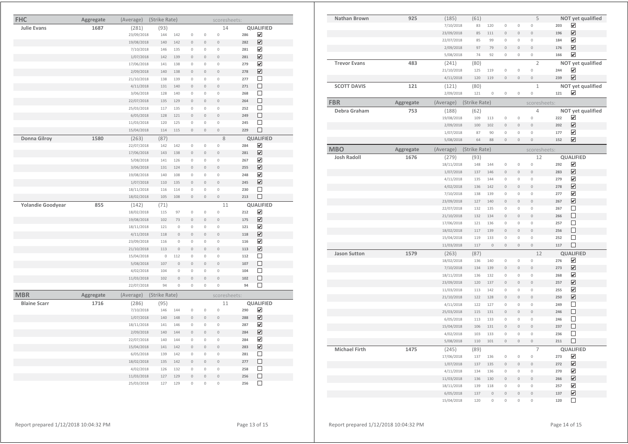| <b>FHC</b>               | Aggregate | (Average)  | (Strike Rate) |              |                     |                     | scoresheets:   |     |                         |
|--------------------------|-----------|------------|---------------|--------------|---------------------|---------------------|----------------|-----|-------------------------|
| <b>Julie Evans</b>       | 1687      | (281)      | (93)          |              |                     |                     | 14             |     | QUALIFIED               |
|                          |           | 23/09/2018 | 144           | 142          | 0                   | $\mathbb O$         | $\circ$        | 286 | ☑                       |
|                          |           | 19/08/2018 | 140           | 142          | $\mathbf 0$         | $\mathbb O$         | $\mathbf 0$    | 282 | ☑                       |
|                          |           | 7/10/2018  | 146           | 135          | 0                   | $\mathbb O$         | $\mathbf 0$    | 281 | $\overline{\mathbf{v}}$ |
|                          |           | 1/07/2018  | 142           | 139          | $\circ$             | $\mathbf 0$         | $\circ$        | 281 | ☑                       |
|                          |           | 17/06/2018 | 141           | 138          | $\mathbb O$         | $\mathbb O$         | $\mathbb O$    | 279 | ☑                       |
|                          |           | 2/09/2018  | 140           | 138          | $\circ$             | $\mathbf 0$         | $\mathbb O$    | 278 | ☑                       |
|                          |           | 21/10/2018 | 138           | 139          | $\mathbb O$         | $\mathbb O$         | $\mathbb O$    | 277 | □                       |
|                          |           | 4/11/2018  | 131           | 140          | $\overline{0}$      | $\mathbf{0}$        | $\theta$       | 271 | П                       |
|                          |           | 3/06/2018  | 128           | 140          | $\mathbb O$         | $\mathbf 0$         | $\mathbf 0$    | 268 | $\Box$                  |
|                          |           | 22/07/2018 | 135           | 129          | $\mathbf 0$         | $\mathbb O$         | $\mathbf 0$    | 264 | □                       |
|                          |           | 25/03/2018 | 117           | 135          | 0                   | 0                   | $\mathbb O$    | 252 | □                       |
|                          |           | 6/05/2018  | 128           | 121          | $\circ$             | $\circ$             | $\circ$        | 249 | $\Box$                  |
|                          |           | 11/03/2018 | 120           | 125          | $\mathbf 0$         | $\mathbb O$         | $\circ$        | 245 | $\Box$                  |
|                          |           | 15/04/2018 | 114           | 115          | $\circ$             | $\mathbb O$         | $\mathbf 0$    | 229 | $\Box$                  |
| <b>Donna Gilroy</b>      | 1580      | (263)      | (87)          |              |                     |                     | 8              |     | <b>QUALIFIED</b>        |
|                          |           | 22/07/2018 | 142           | 142          | $\mathbf 0$         | $\mathbb O$         | $\mathbf{0}$   | 284 | ☑                       |
|                          |           | 17/06/2018 | 143           | 138          | $\circ$             | $\mathbf 0$         | $\mathbf 0$    | 281 | ☑                       |
|                          |           | 5/08/2018  | 141           | 126          | $\overline{0}$      | $\mathbf 0$         | $\overline{0}$ | 267 | $\overline{\mathbf{v}}$ |
|                          |           | 3/06/2018  | 131           | 124          | $\mathbf 0$         | $\mathbf 0$         | $\mathbf 0$    | 255 | ☑                       |
|                          |           | 19/08/2018 | 140           | 108          | $\mathbb O$         | $\mathbb O$         | $\mathbf 0$    | 248 | $\overline{\mathbf{v}}$ |
|                          |           | 1/07/2018  | 110           | 135          | $\circ$             | $\mathbb O$         | $\mathbf 0$    | 245 | ☑                       |
|                          |           | 18/11/2018 | 116           | 114          | $\mathbb O$         | $\mathbb O$         | $\mathbb O$    | 230 | □                       |
|                          |           | 18/02/2018 | 105           | 108          | $\mathsf{O}\xspace$ | $\mathbb O$         | $\circ$        | 213 | $\Box$                  |
| <b>Yolandie Goodyear</b> | 855       | (142)      | (71)          |              |                     |                     | 11             |     | QUALIFIED               |
|                          |           | 18/02/2018 | 115           | 97           | $\mathbb O$         | $\,0\,$             | $\circ$        | 212 | ☑                       |
|                          |           | 19/08/2018 | 102           | 73           | $\circ$             | $\circ$             | $\circ$        | 175 | ☑                       |
|                          |           | 18/11/2018 | 121           | $\mathbf 0$  | $\mathbb O$         | $\,0\,$             | $\circ$        | 121 | ☑                       |
|                          |           | 4/11/2018  | 118           | $\mathbf 0$  | $\circ$             | $\mathbf 0$         | $\circ$        | 118 | $\overline{\mathbf{v}}$ |
|                          |           | 23/09/2018 | 116           | $\mathbb O$  | $\mathbb O$         | $\mathbb O$         | $\mathbf 0$    | 116 | ☑                       |
|                          |           | 21/10/2018 | 113           | $\mathbf 0$  | $\mathbf 0$         | $\mathbf{0}$        | $\theta$       | 113 | ☑                       |
|                          |           | 15/04/2018 | $\mathbb O$   | 112          | $\mathbb O$         | 0                   | $\mathbf 0$    | 112 | □                       |
|                          |           | 5/08/2018  | 107           | $\mathbf{0}$ | $\mathbf 0$         | $\mathbf 0$         | $\theta$       | 107 | $\Box$                  |
|                          |           | 4/02/2018  | 104           | $\circ$      | 0                   | 0                   | $\mathbf 0$    | 104 | П                       |
|                          |           | 11/03/2018 | 102           | $\mathbf 0$  | $\circ$             | $\mathbf 0$         | $\circ$        | 102 | $\Box$                  |
|                          |           | 22/07/2018 | 94            | $\mathbf 0$  | $\mathbb O$         | $\mathbf 0$         | $\mathbf{0}$   | 94  | □                       |
| <b>MBR</b>               | Aggregate | (Average)  | (Strike Rate) |              |                     |                     | scoresheets:   |     |                         |
| <b>Blaine Scarr</b>      | 1716      | (286)      | (95)          |              |                     |                     | 11             |     | QUALIFIED               |
|                          |           | 7/10/2018  | 146           | 144          | $\mathbb O$         | $\mathbb O$         | $\mathbb O$    | 290 | ☑                       |
|                          |           | 1/07/2018  | 140           | 148          | $\circ$             | $\mathbf 0$         | $\circ$        | 288 | ☑                       |
|                          |           | 18/11/2018 | 141           | 146          | 0                   | $\mathbb O$         | $\mathbf 0$    | 287 | $\overline{\mathbf{v}}$ |
|                          |           | 2/09/2018  | 140           | 144          | $\mathbf 0$         | $\mathbb O$         | $\mathbf 0$    | 284 | ☑                       |
|                          |           | 22/07/2018 | 140           | 144          | 0                   | $\mathbb O$         | $\mathbf 0$    | 284 | ☑                       |
|                          |           | 15/04/2018 | 141           | 142          | $\mathbf 0$         | $\mathsf{O}\xspace$ | $\circ$        | 283 | $\overline{\mathbf{v}}$ |
|                          |           | 6/05/2018  | 139           | 142          | $\mathbb O$         | $\mathbb O$         | $\mathbb O$    | 281 | □                       |
|                          |           | 18/02/2018 | 135           | 142          | $\mathbf 0$         | $\,0\,$             | $\circ$        | 277 | $\Box$                  |
|                          |           | 4/02/2018  | 126           | 132          | $\mathbf 0$         | $\mathbf 0$         | $\mathbf 0$    | 258 | □                       |
|                          |           | 11/03/2018 | 127           | 129          | $\overline{0}$      | $\overline{0}$      | $\theta$       | 256 | П                       |
|                          |           | 25/03/2018 | 127           | 129          | $\mathbf 0$         | $\mathbb O$         | $\mathbf 0$    | 256 | П                       |

| Nathan Brown         | 925       | (185)      | (61)          |             |                     |              | 5                   |     | NOT yet qualified       |
|----------------------|-----------|------------|---------------|-------------|---------------------|--------------|---------------------|-----|-------------------------|
|                      |           | 7/10/2018  | 83            | 120         | 0                   | $\,0\,$      | 0                   | 203 | ✔                       |
|                      |           | 23/09/2018 | 85            | 111         | $\circ$             | $\mathbf 0$  | $\circ$             | 196 | ☑                       |
|                      |           | 22/07/2018 | 85            | 99          | 0                   | $\mathbf 0$  | 0                   | 184 | ☑                       |
|                      |           | 2/09/2018  | 97            | 79          | $\mathsf{O}\xspace$ | $\mathbb O$  | $\circ$             | 176 | ☑                       |
|                      |           | 5/08/2018  | 74            | 92          | $\circ$             | $\mathbb O$  | $\circ$             | 166 | $\overline{\mathbf{v}}$ |
| <b>Trevor Evans</b>  | 483       | (241)      | (80)          |             |                     |              | $\overline{2}$      |     | NOT yet qualified       |
|                      |           | 21/10/2018 | 125           | 119         | $\mathsf{O}\xspace$ | $\mathbf 0$  | 0                   | 244 | ☑                       |
|                      |           | 4/11/2018  | 120           | 119         | $\mathsf{O}\xspace$ | $\,0\,$      | $\circ$             | 239 | ☑                       |
| <b>SCOTT DAVIS</b>   | 121       | (121)      | (80)          |             |                     |              | $\mathbf{1}$        |     | NOT yet qualified       |
|                      |           | 2/09/2018  | 121           | $\mathbb O$ | 0                   | $\mathbb O$  | 0                   | 121 | ☑                       |
| <b>FBR</b>           | Aggregate | (Average)  | (Strike Rate) |             |                     |              | scoresheets:        |     |                         |
| Debra Graham         | 753       | (188)      | (62)          |             |                     |              | 4                   |     | NOT yet qualified       |
|                      |           | 19/08/2018 | 109           | 113         | $\mathbf 0$         | $\mathbf 0$  | $\circ$             | 222 | ✔                       |
|                      |           | 2/09/2018  | 100           | 102         | $\mathbf 0$         | $\mathbb O$  | $\mathbf 0$         | 202 | ☑                       |
|                      |           | 1/07/2018  | 87            | 90          | 0                   | $\mathbf 0$  | $\circ$             | 177 | ☑                       |
|                      |           | 5/08/2018  | 64            | 88          | $\circ$             | $\mathbf 0$  | $\circ$             | 152 | $\overline{\mathbf{v}}$ |
| <b>MBO</b>           | Aggregate | (Average)  | (Strike Rate) |             |                     |              | scoresheets:        |     |                         |
| <b>Josh Radoll</b>   | 1676      | (279)      | (93)          |             |                     |              | 12                  |     | <b>QUALIFIED</b>        |
|                      |           | 18/11/2018 | 148           | 144         | $\mathbf 0$         | $\mathbf 0$  | $\mathbb O$         | 292 | ☑                       |
|                      |           | 1/07/2018  | 137           | 146         | $\mathbf 0$         | $\bf{0}$     | $\mathbf 0$         | 283 | ☑                       |
|                      |           | 4/11/2018  | 135           | 144         | $\mathsf{O}\xspace$ | $\mathbb O$  | $\mathbb O$         | 279 | ☑                       |
|                      |           | 4/02/2018  | 136           | 142         | $\overline{0}$      | $\mathbf{0}$ | $\overline{0}$      | 278 | $\overline{\mathbf{v}}$ |
|                      |           | 7/10/2018  | 138           | 139         | $\mathsf{O}\xspace$ | $\mathbb O$  | 0                   | 277 | ☑                       |
|                      |           | 23/09/2018 | 127           | 140         | $\mathbf 0$         | $\mathbb O$  | $\mathbb O$         | 267 | ☑                       |
|                      |           | 22/07/2018 | 132           | 135         | 0                   | $\mathbb O$  | 0                   | 267 | □                       |
|                      |           | 21/10/2018 | 132           | 134         | $\mathbf 0$         | $\mathbb O$  | $\mathbf 0$         | 266 | □                       |
|                      |           | 17/06/2018 | 121           | 136         | $\overline{0}$      | $\mathbb O$  | $\mathbb O$         | 257 | □                       |
|                      |           | 18/02/2018 | 117           | 139         | $\mathsf{O}\xspace$ | $\mathbb O$  | $\mathsf{O}\xspace$ | 256 | $\Box$                  |
|                      |           | 15/04/2018 | 119           | 133         | 0                   | $\mathbb O$  | 0                   | 252 | $\Box$                  |
|                      |           | 11/03/2018 | 117           | $\mathbb O$ | $\mathsf{O}\xspace$ | $\mathbf 0$  | $\mathbf 0$         | 117 | $\Box$                  |
| <b>Jason Sutton</b>  | 1579      | (263)      | (87)          |             |                     |              | 12                  |     | <b>QUALIFIED</b>        |
|                      |           | 18/02/2018 | 136           | 140         | 0                   | $\mathbb O$  | 0                   | 276 | $\overline{\mathbf{v}}$ |
|                      |           | 7/10/2018  | 134           | 139         | $\circ$             | $\mathbf 0$  | $\mathsf{O}\xspace$ | 273 | ☑                       |
|                      |           | 18/11/2018 | 136           | 132         | $\overline{0}$      | $\mathbb O$  | 0                   | 268 | ☑                       |
|                      |           | 23/09/2018 | 120           | 137         | $\mathsf{O}\xspace$ | $\mathbb O$  | $\mathsf{O}\xspace$ | 257 | ☑                       |
|                      |           | 11/03/2018 | 113           | 142         | 0                   | $\bf 0$      | 0                   | 255 | ☑                       |
|                      |           | 21/10/2018 | 122           | 128         | $\mathbf 0$         | $\mathbf 0$  | $\mathbf 0$         | 250 | ☑                       |
|                      |           | 4/11/2018  | 122           | 127         | $\mathsf{O}\xspace$ | $\mathbb O$  | 0                   | 249 | $\Box$                  |
|                      |           | 25/03/2018 | 115           | 131         | $\overline{0}$      | $\mathbf 0$  | $\circ$             | 246 | $\Box$                  |
|                      |           | 6/05/2018  | 113           | 133         | $\mathsf{O}\xspace$ | $\mathbb O$  | $\mathbb O$         | 246 | $\Box$                  |
|                      |           | 15/04/2018 | 106           | 131         | $\Omega$            | $\,0\,$      | $\mathbb O$         | 237 | □                       |
|                      |           | 4/02/2018  | 103           | 133         | $\Omega$            | $\mathbb O$  | $\overline{0}$      | 236 | П                       |
|                      |           | 5/08/2018  | 110           | 101         | $\mathbf 0$         | $\mathbf 0$  | $\circ$             | 211 | $\Box$                  |
| <b>Michael Firth</b> | 1475      | (245)      | (89)          |             |                     |              | $\overline{7}$      |     | QUALIFIED               |
|                      |           | 17/06/2018 | 137           | 136         | $\mathbb O$         | $\mathbb O$  | 0                   | 273 | ☑                       |
|                      |           | 1/07/2018  | 137           | 135         | $\bf{0}$            | $\mathbb O$  | $\mathsf{O}\xspace$ | 272 | $\overline{\mathbf{v}}$ |
|                      |           | 4/11/2018  | 134           | 136         | 0                   | $\mathbf 0$  | $\mathbf 0$         | 270 | ☑                       |
|                      |           | 11/03/2018 | 136           | 130         | $\mathbf 0$         | $\mathbb O$  | $\mathbf 0$         | 266 | $\blacktriangledown$    |
|                      |           | 18/11/2018 | 139           | 118         | $\Omega$            | $\mathbb O$  | $\mathbf 0$         | 257 | ☑                       |
|                      |           | 6/05/2018  | 137           | $\mathbf 0$ | $\overline{0}$      | $\mathbf 0$  | $\circ$             | 137 | ☑                       |
|                      |           | 15/04/2018 | 120           | $\mathbf 0$ | $\overline{0}$      | $\mathbf 0$  | $\overline{0}$      | 120 | $\Box$                  |